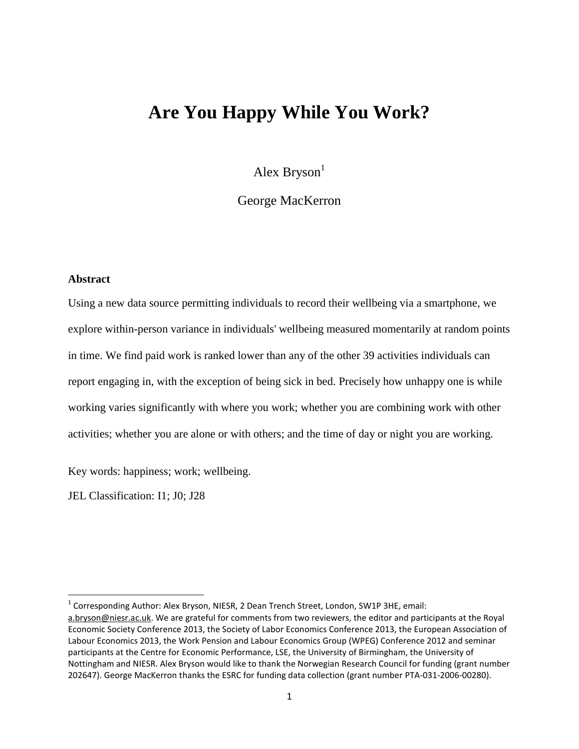# **Are You Happy While You Work?**

Alex Bryson $<sup>1</sup>$ </sup>

George MacKerron

### **Abstract**

 $\overline{\phantom{a}}$ 

Using a new data source permitting individuals to record their wellbeing via a smartphone, we explore within-person variance in individuals' wellbeing measured momentarily at random points in time. We find paid work is ranked lower than any of the other 39 activities individuals can report engaging in, with the exception of being sick in bed. Precisely how unhappy one is while working varies significantly with where you work; whether you are combining work with other activities; whether you are alone or with others; and the time of day or night you are working.

Key words: happiness; work; wellbeing.

JEL Classification: I1; J0; J28

<sup>&</sup>lt;sup>1</sup> Corresponding Author: Alex Bryson, NIESR, 2 Dean Trench Street, London, SW1P 3HE, email: [a.bryson@niesr.ac.uk.](mailto:a.bryson@niesr.ac.uk) We are grateful for comments from two reviewers, the editor and participants at the Royal Economic Society Conference 2013, the Society of Labor Economics Conference 2013, the European Association of Labour Economics 2013, the Work Pension and Labour Economics Group (WPEG) Conference 2012 and seminar participants at the Centre for Economic Performance, LSE, the University of Birmingham, the University of Nottingham and NIESR. Alex Bryson would like to thank the Norwegian Research Council for funding (grant number 202647). George MacKerron thanks the ESRC for funding data collection (grant number PTA-031-2006-00280).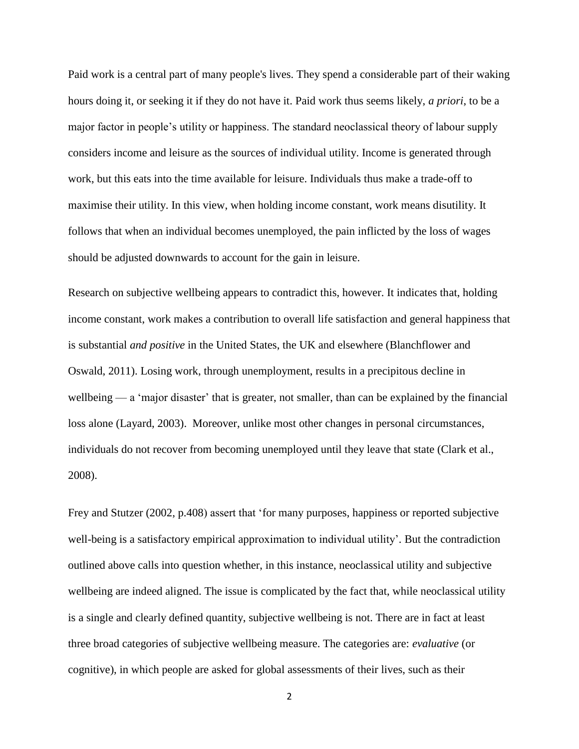Paid work is a central part of many people's lives. They spend a considerable part of their waking hours doing it, or seeking it if they do not have it. Paid work thus seems likely, *a priori*, to be a major factor in people's utility or happiness. The standard neoclassical theory of labour supply considers income and leisure as the sources of individual utility. Income is generated through work, but this eats into the time available for leisure. Individuals thus make a trade-off to maximise their utility. In this view, when holding income constant, work means disutility. It follows that when an individual becomes unemployed, the pain inflicted by the loss of wages should be adjusted downwards to account for the gain in leisure.

Research on subjective wellbeing appears to contradict this, however. It indicates that, holding income constant, work makes a contribution to overall life satisfaction and general happiness that is substantial *and positive* in the United States, the UK and elsewhere (Blanchflower and Oswald, 2011). Losing work, through unemployment, results in a precipitous decline in wellbeing — a 'major disaster' that is greater, not smaller, than can be explained by the financial loss alone (Layard, 2003). Moreover, unlike most other changes in personal circumstances, individuals do not recover from becoming unemployed until they leave that state (Clark et al., 2008).

Frey and Stutzer (2002, p.408) assert that 'for many purposes, happiness or reported subjective well-being is a satisfactory empirical approximation to individual utility'. But the contradiction outlined above calls into question whether, in this instance, neoclassical utility and subjective wellbeing are indeed aligned. The issue is complicated by the fact that, while neoclassical utility is a single and clearly defined quantity, subjective wellbeing is not. There are in fact at least three broad categories of subjective wellbeing measure. The categories are: *evaluative* (or cognitive), in which people are asked for global assessments of their lives, such as their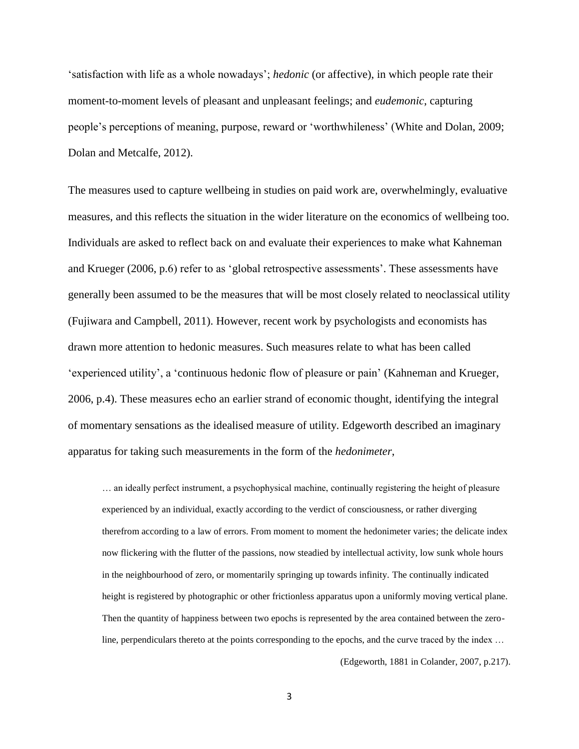'satisfaction with life as a whole nowadays'; *hedonic* (or affective), in which people rate their moment-to-moment levels of pleasant and unpleasant feelings; and *eudemonic*, capturing people's perceptions of meaning, purpose, reward or 'worthwhileness' (White and Dolan, 2009; Dolan and Metcalfe, 2012).

The measures used to capture wellbeing in studies on paid work are, overwhelmingly, evaluative measures, and this reflects the situation in the wider literature on the economics of wellbeing too. Individuals are asked to reflect back on and evaluate their experiences to make what Kahneman and Krueger (2006, p.6) refer to as 'global retrospective assessments'. These assessments have generally been assumed to be the measures that will be most closely related to neoclassical utility (Fujiwara and Campbell, 2011). However, recent work by psychologists and economists has drawn more attention to hedonic measures. Such measures relate to what has been called 'experienced utility', a 'continuous hedonic flow of pleasure or pain' (Kahneman and Krueger, 2006, p.4). These measures echo an earlier strand of economic thought, identifying the integral of momentary sensations as the idealised measure of utility. Edgeworth described an imaginary apparatus for taking such measurements in the form of the *hedonimeter*,

… an ideally perfect instrument, a psychophysical machine, continually registering the height of pleasure experienced by an individual, exactly according to the verdict of consciousness, or rather diverging therefrom according to a law of errors. From moment to moment the hedonimeter varies; the delicate index now flickering with the flutter of the passions, now steadied by intellectual activity, low sunk whole hours in the neighbourhood of zero, or momentarily springing up towards infinity. The continually indicated height is registered by photographic or other frictionless apparatus upon a uniformly moving vertical plane. Then the quantity of happiness between two epochs is represented by the area contained between the zeroline, perpendiculars thereto at the points corresponding to the epochs, and the curve traced by the index ...

(Edgeworth, 1881 in Colander, 2007, p.217).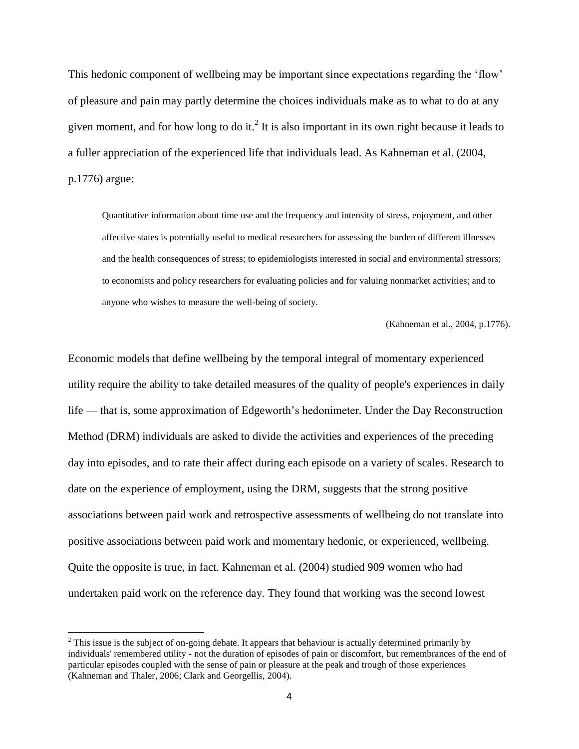This hedonic component of wellbeing may be important since expectations regarding the 'flow' of pleasure and pain may partly determine the choices individuals make as to what to do at any given moment, and for how long to do it.<sup>2</sup> It is also important in its own right because it leads to a fuller appreciation of the experienced life that individuals lead. As Kahneman et al. (2004, p.1776) argue:

Quantitative information about time use and the frequency and intensity of stress, enjoyment, and other affective states is potentially useful to medical researchers for assessing the burden of different illnesses and the health consequences of stress; to epidemiologists interested in social and environmental stressors; to economists and policy researchers for evaluating policies and for valuing nonmarket activities; and to anyone who wishes to measure the well-being of society.

(Kahneman et al., 2004, p.1776).

Economic models that define wellbeing by the temporal integral of momentary experienced utility require the ability to take detailed measures of the quality of people's experiences in daily life — that is, some approximation of Edgeworth's hedonimeter. Under the Day Reconstruction Method (DRM) individuals are asked to divide the activities and experiences of the preceding day into episodes, and to rate their affect during each episode on a variety of scales. Research to date on the experience of employment, using the DRM, suggests that the strong positive associations between paid work and retrospective assessments of wellbeing do not translate into positive associations between paid work and momentary hedonic, or experienced, wellbeing. Quite the opposite is true, in fact. Kahneman et al. (2004) studied 909 women who had undertaken paid work on the reference day. They found that working was the second lowest

 $\overline{\phantom{a}}$ 

<sup>&</sup>lt;sup>2</sup> This issue is the subject of on-going debate. It appears that behaviour is actually determined primarily by individuals' remembered utility - not the duration of episodes of pain or discomfort, but remembrances of the end of particular episodes coupled with the sense of pain or pleasure at the peak and trough of those experiences (Kahneman and Thaler, 2006; Clark and Georgellis, 2004).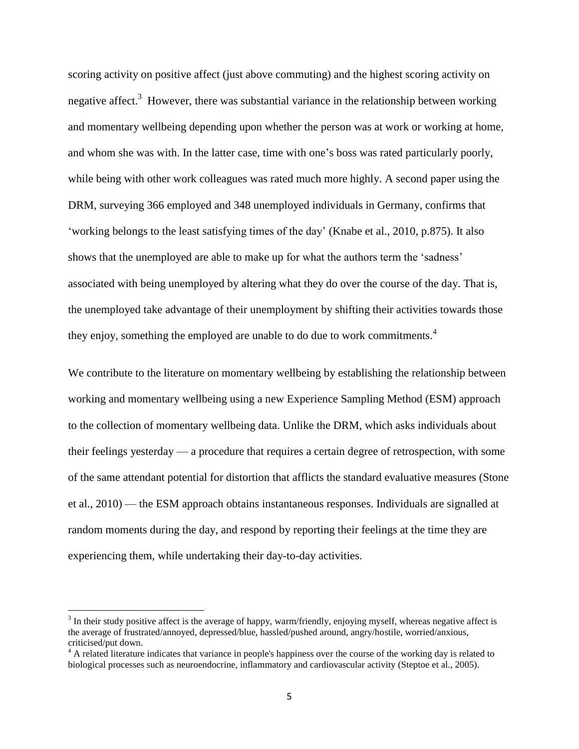scoring activity on positive affect (just above commuting) and the highest scoring activity on negative affect. $3$  However, there was substantial variance in the relationship between working and momentary wellbeing depending upon whether the person was at work or working at home, and whom she was with. In the latter case, time with one's boss was rated particularly poorly, while being with other work colleagues was rated much more highly. A second paper using the DRM, surveying 366 employed and 348 unemployed individuals in Germany, confirms that 'working belongs to the least satisfying times of the day' (Knabe et al., 2010, p.875). It also shows that the unemployed are able to make up for what the authors term the 'sadness' associated with being unemployed by altering what they do over the course of the day. That is, the unemployed take advantage of their unemployment by shifting their activities towards those they enjoy, something the employed are unable to do due to work commitments.<sup>4</sup>

We contribute to the literature on momentary wellbeing by establishing the relationship between working and momentary wellbeing using a new Experience Sampling Method (ESM) approach to the collection of momentary wellbeing data. Unlike the DRM, which asks individuals about their feelings yesterday — a procedure that requires a certain degree of retrospection, with some of the same attendant potential for distortion that afflicts the standard evaluative measures (Stone et al., 2010) — the ESM approach obtains instantaneous responses. Individuals are signalled at random moments during the day, and respond by reporting their feelings at the time they are experiencing them, while undertaking their day-to-day activities.

l

 $3$  In their study positive affect is the average of happy, warm/friendly, enjoying myself, whereas negative affect is the average of frustrated/annoyed, depressed/blue, hassled/pushed around, angry/hostile, worried/anxious, criticised/put down.

<sup>&</sup>lt;sup>4</sup> A related literature indicates that variance in people's happiness over the course of the working day is related to biological processes such as neuroendocrine, inflammatory and cardiovascular activity (Steptoe et al., 2005).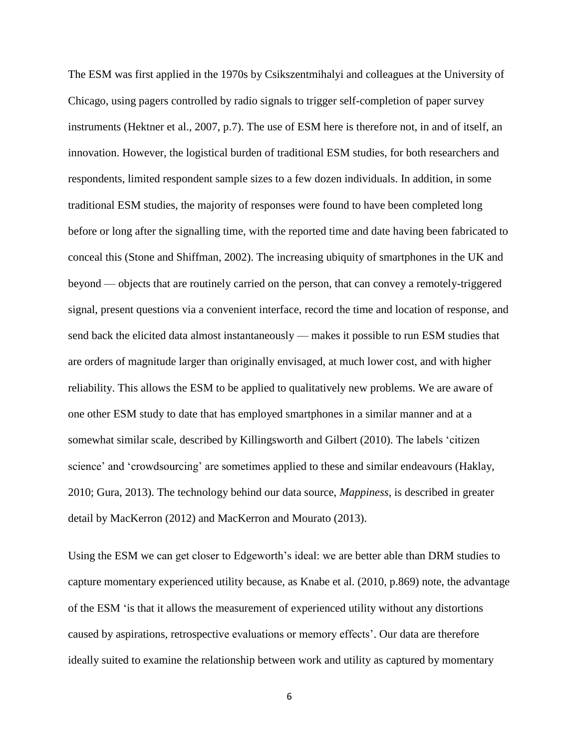The ESM was first applied in the 1970s by Csikszentmihalyi and colleagues at the University of Chicago, using pagers controlled by radio signals to trigger self-completion of paper survey instruments (Hektner et al., 2007, p.7). The use of ESM here is therefore not, in and of itself, an innovation. However, the logistical burden of traditional ESM studies, for both researchers and respondents, limited respondent sample sizes to a few dozen individuals. In addition, in some traditional ESM studies, the majority of responses were found to have been completed long before or long after the signalling time, with the reported time and date having been fabricated to conceal this (Stone and Shiffman, 2002). The increasing ubiquity of smartphones in the UK and beyond — objects that are routinely carried on the person, that can convey a remotely-triggered signal, present questions via a convenient interface, record the time and location of response, and send back the elicited data almost instantaneously — makes it possible to run ESM studies that are orders of magnitude larger than originally envisaged, at much lower cost, and with higher reliability. This allows the ESM to be applied to qualitatively new problems. We are aware of one other ESM study to date that has employed smartphones in a similar manner and at a somewhat similar scale, described by Killingsworth and Gilbert (2010). The labels 'citizen science' and 'crowdsourcing' are sometimes applied to these and similar endeavours (Haklay, 2010; Gura, 2013). The technology behind our data source, *Mappiness*, is described in greater detail by MacKerron (2012) and MacKerron and Mourato (2013).

Using the ESM we can get closer to Edgeworth's ideal: we are better able than DRM studies to capture momentary experienced utility because, as Knabe et al. (2010, p.869) note, the advantage of the ESM 'is that it allows the measurement of experienced utility without any distortions caused by aspirations, retrospective evaluations or memory effects'. Our data are therefore ideally suited to examine the relationship between work and utility as captured by momentary

6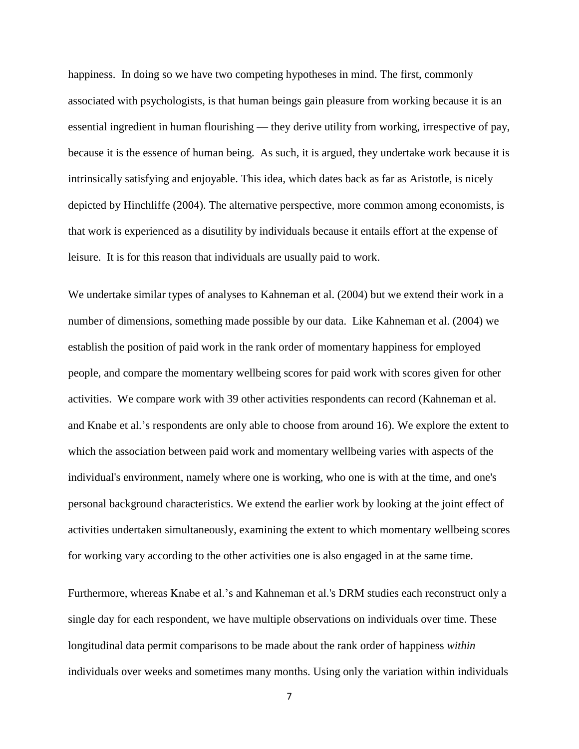happiness. In doing so we have two competing hypotheses in mind. The first, commonly associated with psychologists, is that human beings gain pleasure from working because it is an essential ingredient in human flourishing — they derive utility from working, irrespective of pay, because it is the essence of human being. As such, it is argued, they undertake work because it is intrinsically satisfying and enjoyable. This idea, which dates back as far as Aristotle, is nicely depicted by Hinchliffe (2004). The alternative perspective, more common among economists, is that work is experienced as a disutility by individuals because it entails effort at the expense of leisure. It is for this reason that individuals are usually paid to work.

We undertake similar types of analyses to Kahneman et al. (2004) but we extend their work in a number of dimensions, something made possible by our data. Like Kahneman et al. (2004) we establish the position of paid work in the rank order of momentary happiness for employed people, and compare the momentary wellbeing scores for paid work with scores given for other activities. We compare work with 39 other activities respondents can record (Kahneman et al. and Knabe et al.'s respondents are only able to choose from around 16). We explore the extent to which the association between paid work and momentary wellbeing varies with aspects of the individual's environment, namely where one is working, who one is with at the time, and one's personal background characteristics. We extend the earlier work by looking at the joint effect of activities undertaken simultaneously, examining the extent to which momentary wellbeing scores for working vary according to the other activities one is also engaged in at the same time.

Furthermore, whereas Knabe et al.'s and Kahneman et al.'s DRM studies each reconstruct only a single day for each respondent, we have multiple observations on individuals over time. These longitudinal data permit comparisons to be made about the rank order of happiness *within* individuals over weeks and sometimes many months. Using only the variation within individuals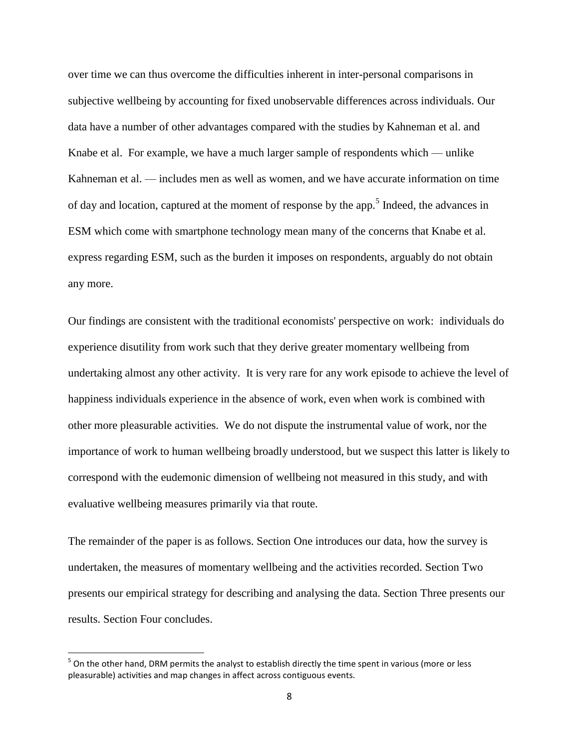over time we can thus overcome the difficulties inherent in inter-personal comparisons in subjective wellbeing by accounting for fixed unobservable differences across individuals. Our data have a number of other advantages compared with the studies by Kahneman et al. and Knabe et al. For example, we have a much larger sample of respondents which — unlike Kahneman et al. — includes men as well as women, and we have accurate information on time of day and location, captured at the moment of response by the app.<sup>5</sup> Indeed, the advances in ESM which come with smartphone technology mean many of the concerns that Knabe et al. express regarding ESM, such as the burden it imposes on respondents, arguably do not obtain any more.

Our findings are consistent with the traditional economists' perspective on work: individuals do experience disutility from work such that they derive greater momentary wellbeing from undertaking almost any other activity. It is very rare for any work episode to achieve the level of happiness individuals experience in the absence of work, even when work is combined with other more pleasurable activities. We do not dispute the instrumental value of work, nor the importance of work to human wellbeing broadly understood, but we suspect this latter is likely to correspond with the eudemonic dimension of wellbeing not measured in this study, and with evaluative wellbeing measures primarily via that route.

The remainder of the paper is as follows. Section One introduces our data, how the survey is undertaken, the measures of momentary wellbeing and the activities recorded. Section Two presents our empirical strategy for describing and analysing the data. Section Three presents our results. Section Four concludes.

l

 $<sup>5</sup>$  On the other hand, DRM permits the analyst to establish directly the time spent in various (more or less</sup> pleasurable) activities and map changes in affect across contiguous events.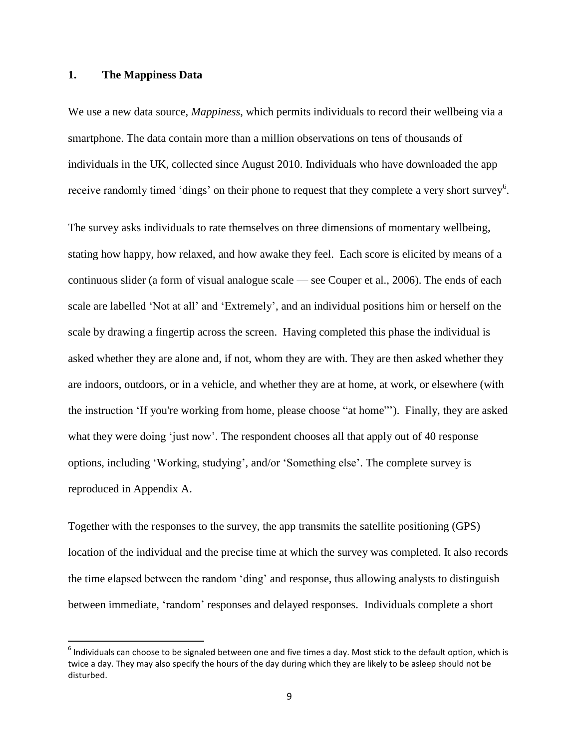### **1. The Mappiness Data**

 $\overline{\phantom{a}}$ 

We use a new data source, *Mappiness*, which permits individuals to record their wellbeing via a smartphone. The data contain more than a million observations on tens of thousands of individuals in the UK, collected since August 2010. Individuals who have downloaded the app receive randomly timed 'dings' on their phone to request that they complete a very short survey<sup>6</sup>.

The survey asks individuals to rate themselves on three dimensions of momentary wellbeing, stating how happy, how relaxed, and how awake they feel. Each score is elicited by means of a continuous slider (a form of visual analogue scale — see Couper et al., 2006). The ends of each scale are labelled 'Not at all' and 'Extremely', and an individual positions him or herself on the scale by drawing a fingertip across the screen. Having completed this phase the individual is asked whether they are alone and, if not, whom they are with. They are then asked whether they are indoors, outdoors, or in a vehicle, and whether they are at home, at work, or elsewhere (with the instruction 'If you're working from home, please choose "at home"'). Finally, they are asked what they were doing 'just now'. The respondent chooses all that apply out of 40 response options, including 'Working, studying', and/or 'Something else'. The complete survey is reproduced in Appendix A.

Together with the responses to the survey, the app transmits the satellite positioning (GPS) location of the individual and the precise time at which the survey was completed. It also records the time elapsed between the random 'ding' and response, thus allowing analysts to distinguish between immediate, 'random' responses and delayed responses. Individuals complete a short

 $^6$  Individuals can choose to be signaled between one and five times a day. Most stick to the default option, which is twice a day. They may also specify the hours of the day during which they are likely to be asleep should not be disturbed.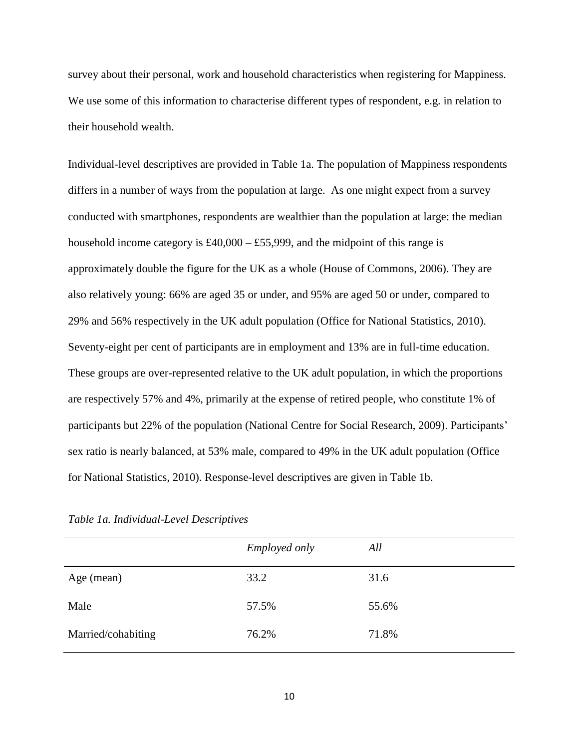survey about their personal, work and household characteristics when registering for Mappiness. We use some of this information to characterise different types of respondent, e.g. in relation to their household wealth.

Individual-level descriptives are provided in Table 1a. The population of Mappiness respondents differs in a number of ways from the population at large. As one might expect from a survey conducted with smartphones, respondents are wealthier than the population at large: the median household income category is  $£40,000 - £55,999$ , and the midpoint of this range is approximately double the figure for the UK as a whole (House of Commons, 2006). They are also relatively young: 66% are aged 35 or under, and 95% are aged 50 or under, compared to 29% and 56% respectively in the UK adult population (Office for National Statistics, 2010). Seventy-eight per cent of participants are in employment and 13% are in full-time education. These groups are over-represented relative to the UK adult population, in which the proportions are respectively 57% and 4%, primarily at the expense of retired people, who constitute 1% of participants but 22% of the population (National Centre for Social Research, 2009). Participants' sex ratio is nearly balanced, at 53% male, compared to 49% in the UK adult population (Office for National Statistics, 2010). Response-level descriptives are given in Table 1b.

|                    | <i>Employed only</i> | All   |
|--------------------|----------------------|-------|
| Age (mean)         | 33.2                 | 31.6  |
| Male               | 57.5%                | 55.6% |
| Married/cohabiting | 76.2%                | 71.8% |

*Table 1a. Individual-Level Descriptives*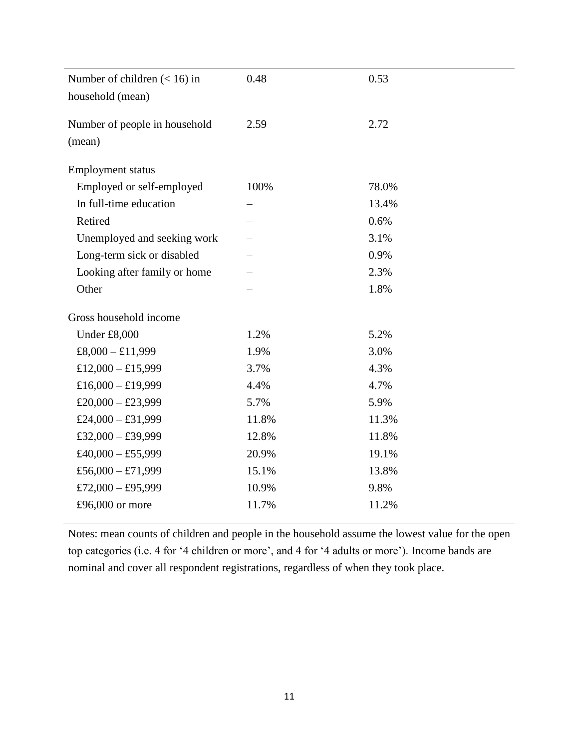| Number of children $(< 16)$ in | 0.48  | 0.53  |
|--------------------------------|-------|-------|
| household (mean)               |       |       |
| Number of people in household  | 2.59  | 2.72  |
| (mean)                         |       |       |
|                                |       |       |
| <b>Employment status</b>       |       |       |
| Employed or self-employed      | 100%  | 78.0% |
| In full-time education         |       | 13.4% |
| Retired                        |       | 0.6%  |
| Unemployed and seeking work    |       | 3.1%  |
| Long-term sick or disabled     |       | 0.9%  |
| Looking after family or home   |       | 2.3%  |
| Other                          |       | 1.8%  |
|                                |       |       |
| Gross household income         |       |       |
| Under £8,000                   | 1.2%  | 5.2%  |
| $£8,000 - £11,999$             | 1.9%  | 3.0%  |
| £12,000 - £15,999              | 3.7%  | 4.3%  |
| £16,000 - £19,999              | 4.4%  | 4.7%  |
| £20,000 - £23,999              | 5.7%  | 5.9%  |
| £24,000 - £31,999              | 11.8% | 11.3% |
| £32,000 - £39,999              | 12.8% | 11.8% |
| £40,000 - £55,999              | 20.9% | 19.1% |
| £56,000 - £71,999              | 15.1% | 13.8% |
| £72,000 - £95,999              | 10.9% | 9.8%  |
| £96,000 or more                | 11.7% | 11.2% |
|                                |       |       |

Notes: mean counts of children and people in the household assume the lowest value for the open top categories (i.e. 4 for '4 children or more', and 4 for '4 adults or more'). Income bands are nominal and cover all respondent registrations, regardless of when they took place.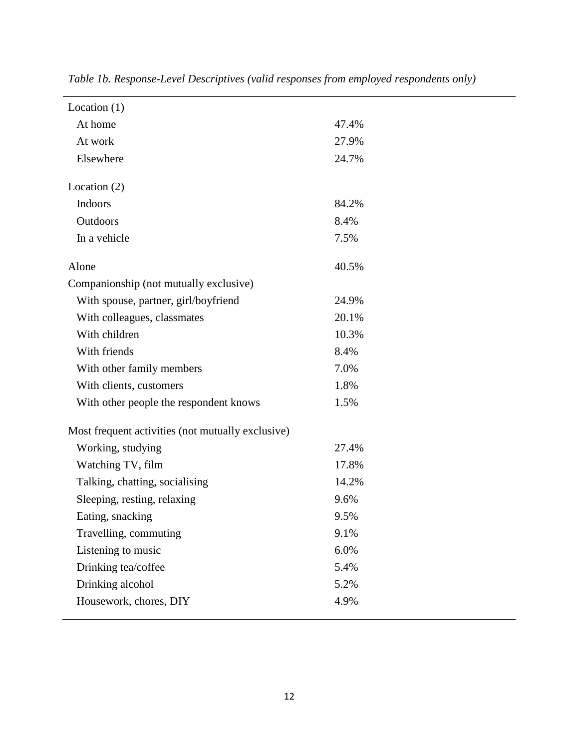| Location $(1)$                                    |       |
|---------------------------------------------------|-------|
| At home                                           | 47.4% |
| At work                                           | 27.9% |
| Elsewhere                                         | 24.7% |
|                                                   |       |
| Location $(2)$                                    |       |
| Indoors                                           | 84.2% |
| Outdoors                                          | 8.4%  |
| In a vehicle                                      | 7.5%  |
| Alone                                             | 40.5% |
| Companionship (not mutually exclusive)            |       |
| With spouse, partner, girl/boyfriend              | 24.9% |
| With colleagues, classmates                       | 20.1% |
| With children                                     | 10.3% |
| With friends                                      | 8.4%  |
| With other family members                         | 7.0%  |
| With clients, customers                           | 1.8%  |
| With other people the respondent knows            | 1.5%  |
| Most frequent activities (not mutually exclusive) |       |
| Working, studying                                 | 27.4% |
| Watching TV, film                                 | 17.8% |
| Talking, chatting, socialising                    | 14.2% |
| Sleeping, resting, relaxing                       | 9.6%  |
| Eating, snacking                                  | 9.5%  |
| Travelling, commuting                             | 9.1%  |
| Listening to music                                | 6.0%  |
| Drinking tea/coffee                               | 5.4%  |
| Drinking alcohol                                  | 5.2%  |
| Housework, chores, DIY                            | 4.9%  |
|                                                   |       |

*Table 1b. Response-Level Descriptives (valid responses from employed respondents only)*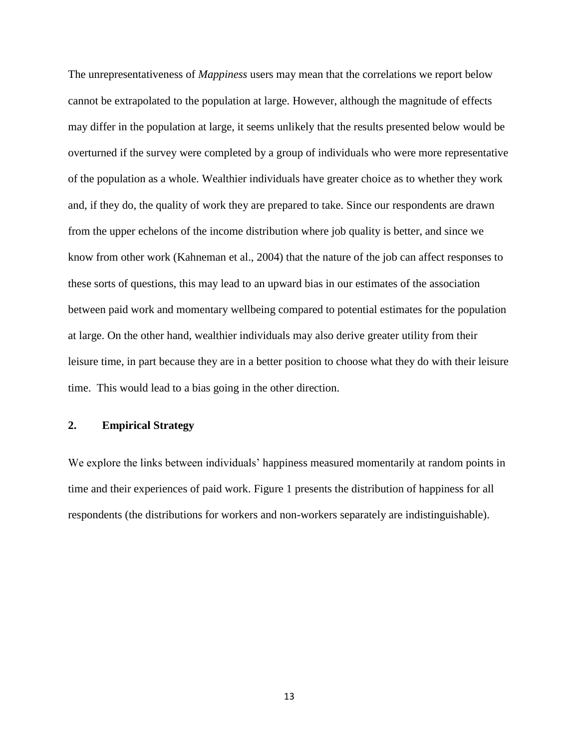The unrepresentativeness of *Mappiness* users may mean that the correlations we report below cannot be extrapolated to the population at large. However, although the magnitude of effects may differ in the population at large, it seems unlikely that the results presented below would be overturned if the survey were completed by a group of individuals who were more representative of the population as a whole. Wealthier individuals have greater choice as to whether they work and, if they do, the quality of work they are prepared to take. Since our respondents are drawn from the upper echelons of the income distribution where job quality is better, and since we know from other work (Kahneman et al., 2004) that the nature of the job can affect responses to these sorts of questions, this may lead to an upward bias in our estimates of the association between paid work and momentary wellbeing compared to potential estimates for the population at large. On the other hand, wealthier individuals may also derive greater utility from their leisure time, in part because they are in a better position to choose what they do with their leisure time. This would lead to a bias going in the other direction.

### **2. Empirical Strategy**

We explore the links between individuals' happiness measured momentarily at random points in time and their experiences of paid work. Figure 1 presents the distribution of happiness for all respondents (the distributions for workers and non-workers separately are indistinguishable).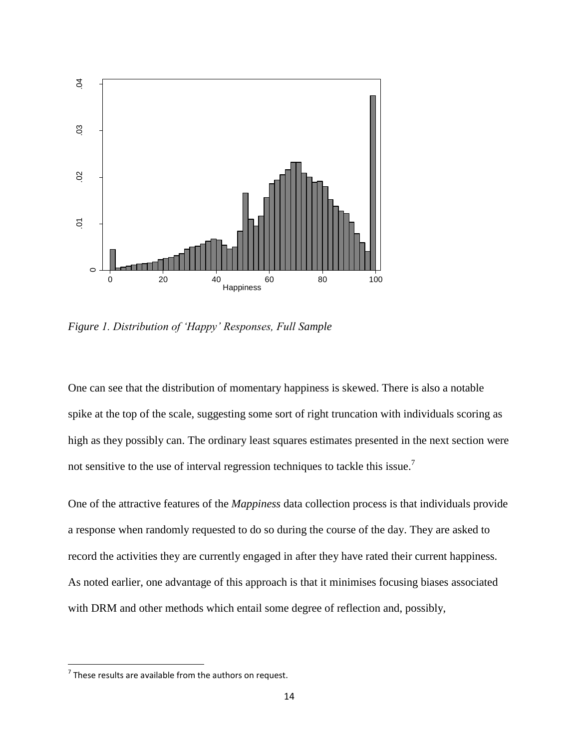

*Figure 1. Distribution of 'Happy' Responses, Full Sample*

One can see that the distribution of momentary happiness is skewed. There is also a notable spike at the top of the scale, suggesting some sort of right truncation with individuals scoring as high as they possibly can. The ordinary least squares estimates presented in the next section were not sensitive to the use of interval regression techniques to tackle this issue.<sup>7</sup>

One of the attractive features of the *Mappiness* data collection process is that individuals provide a response when randomly requested to do so during the course of the day. They are asked to record the activities they are currently engaged in after they have rated their current happiness. As noted earlier, one advantage of this approach is that it minimises focusing biases associated with DRM and other methods which entail some degree of reflection and, possibly,

 $\overline{\phantom{a}}$ 

 $7$  These results are available from the authors on request.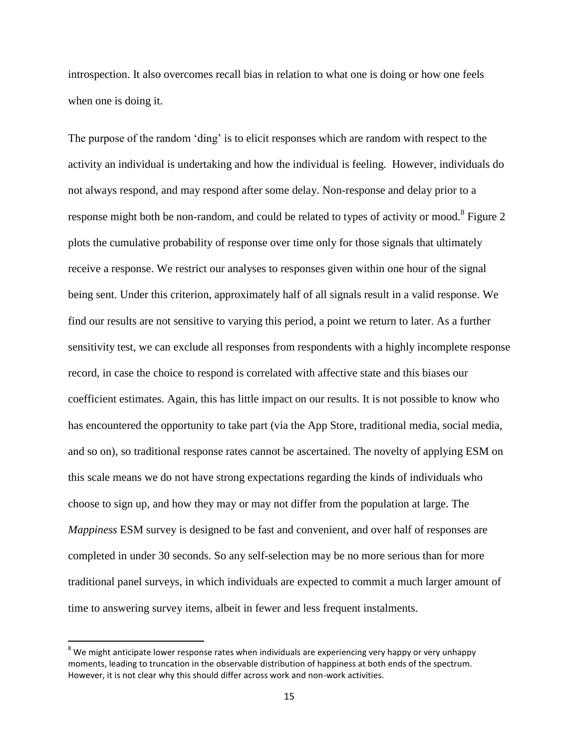introspection. It also overcomes recall bias in relation to what one is doing or how one feels when one is doing it.

The purpose of the random 'ding' is to elicit responses which are random with respect to the activity an individual is undertaking and how the individual is feeling. However, individuals do not always respond, and may respond after some delay. Non-response and delay prior to a response might both be non-random, and could be related to types of activity or mood.<sup>8</sup> Figure 2 plots the cumulative probability of response over time only for those signals that ultimately receive a response. We restrict our analyses to responses given within one hour of the signal being sent. Under this criterion, approximately half of all signals result in a valid response. We find our results are not sensitive to varying this period, a point we return to later. As a further sensitivity test, we can exclude all responses from respondents with a highly incomplete response record, in case the choice to respond is correlated with affective state and this biases our coefficient estimates. Again, this has little impact on our results. It is not possible to know who has encountered the opportunity to take part (via the App Store, traditional media, social media, and so on), so traditional response rates cannot be ascertained. The novelty of applying ESM on this scale means we do not have strong expectations regarding the kinds of individuals who choose to sign up, and how they may or may not differ from the population at large. The *Mappiness* ESM survey is designed to be fast and convenient, and over half of responses are completed in under 30 seconds. So any self-selection may be no more serious than for more traditional panel surveys, in which individuals are expected to commit a much larger amount of time to answering survey items, albeit in fewer and less frequent instalments.

 $\overline{\phantom{a}}$ 

<sup>&</sup>lt;sup>8</sup> We might anticipate lower response rates when individuals are experiencing very happy or very unhappy moments, leading to truncation in the observable distribution of happiness at both ends of the spectrum. However, it is not clear why this should differ across work and non-work activities.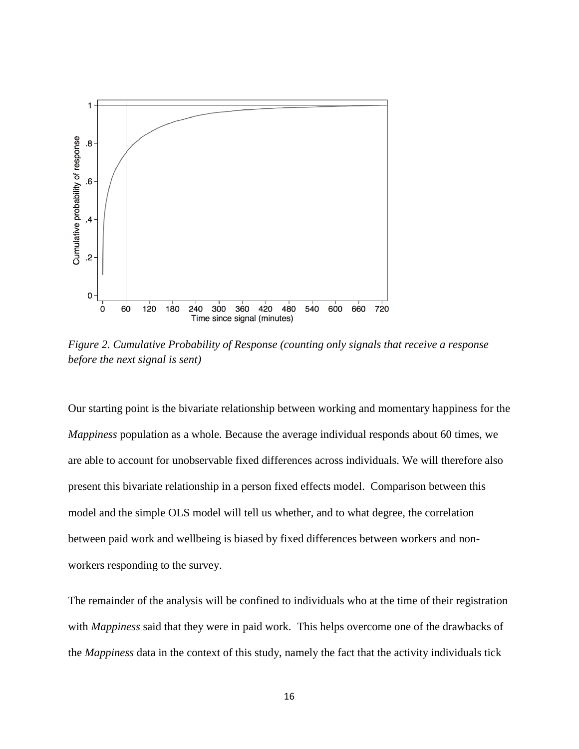

*Figure 2. Cumulative Probability of Response (counting only signals that receive a response before the next signal is sent)*

Our starting point is the bivariate relationship between working and momentary happiness for the *Mappiness* population as a whole. Because the average individual responds about 60 times, we are able to account for unobservable fixed differences across individuals. We will therefore also present this bivariate relationship in a person fixed effects model. Comparison between this model and the simple OLS model will tell us whether, and to what degree, the correlation between paid work and wellbeing is biased by fixed differences between workers and nonworkers responding to the survey.

The remainder of the analysis will be confined to individuals who at the time of their registration with *Mappiness* said that they were in paid work. This helps overcome one of the drawbacks of the *Mappiness* data in the context of this study, namely the fact that the activity individuals tick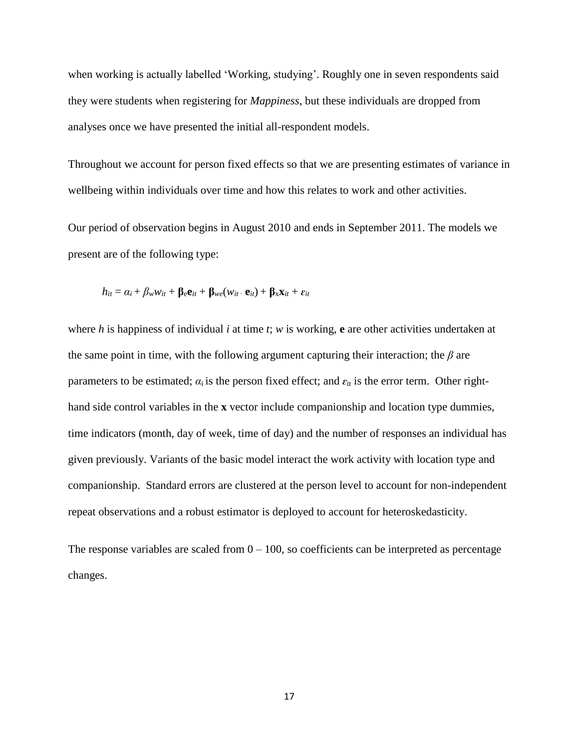when working is actually labelled 'Working, studying'. Roughly one in seven respondents said they were students when registering for *Mappiness*, but these individuals are dropped from analyses once we have presented the initial all-respondent models.

Throughout we account for person fixed effects so that we are presenting estimates of variance in wellbeing within individuals over time and how this relates to work and other activities.

Our period of observation begins in August 2010 and ends in September 2011. The models we present are of the following type:

$$
h_{it} = \alpha_i + \beta_w w_{it} + \beta_e \mathbf{e}_{it} + \beta_{we} (w_{it} \cdot \mathbf{e}_{it}) + \beta_x \mathbf{x}_{it} + \varepsilon_{it}
$$

where *h* is happiness of individual *i* at time *t*; *w* is working, **e** are other activities undertaken at the same point in time, with the following argument capturing their interaction; the *β* are parameters to be estimated;  $a_i$  is the person fixed effect; and  $\varepsilon_{it}$  is the error term. Other righthand side control variables in the **x** vector include companionship and location type dummies, time indicators (month, day of week, time of day) and the number of responses an individual has given previously. Variants of the basic model interact the work activity with location type and companionship. Standard errors are clustered at the person level to account for non-independent repeat observations and a robust estimator is deployed to account for heteroskedasticity.

The response variables are scaled from  $0 - 100$ , so coefficients can be interpreted as percentage changes.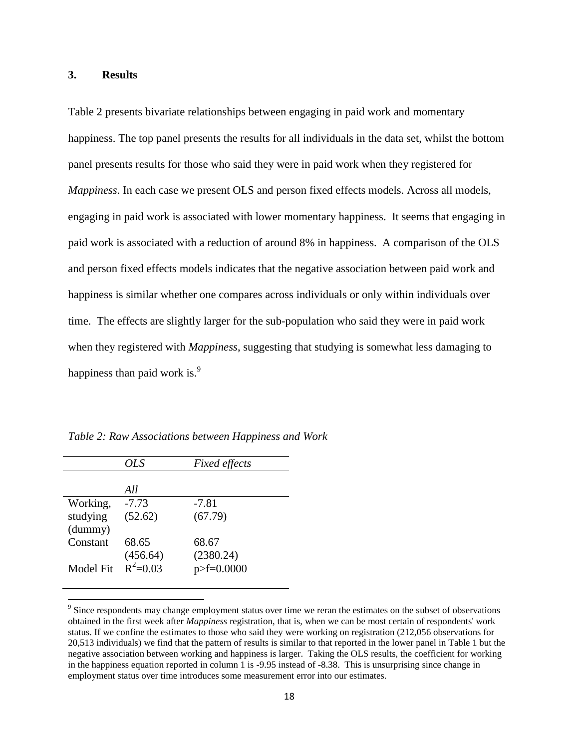### **3. Results**

Table 2 presents bivariate relationships between engaging in paid work and momentary happiness. The top panel presents the results for all individuals in the data set, whilst the bottom panel presents results for those who said they were in paid work when they registered for *Mappiness*. In each case we present OLS and person fixed effects models. Across all models, engaging in paid work is associated with lower momentary happiness. It seems that engaging in paid work is associated with a reduction of around 8% in happiness. A comparison of the OLS and person fixed effects models indicates that the negative association between paid work and happiness is similar whether one compares across individuals or only within individuals over time. The effects are slightly larger for the sub-population who said they were in paid work when they registered with *Mappiness*, suggesting that studying is somewhat less damaging to happiness than paid work is. $\frac{9}{2}$ 

|                  | OLS          | <b>Fixed effects</b> |
|------------------|--------------|----------------------|
|                  |              |                      |
|                  | All          |                      |
| Working,         | $-7.73$      | $-7.81$              |
| studying         | (52.62)      | (67.79)              |
| (dummy)          |              |                      |
| Constant         | 68.65        | 68.67                |
|                  | (456.64)     | (2380.24)            |
| <b>Model Fit</b> | $R^2 = 0.03$ | $p>F=0.0000$         |
|                  |              |                      |

 $\overline{\phantom{a}}$ 

*Table 2: Raw Associations between Happiness and Work*

 $9^9$  Since respondents may change employment status over time we reran the estimates on the subset of observations obtained in the first week after *Mappiness* registration, that is, when we can be most certain of respondents' work status. If we confine the estimates to those who said they were working on registration (212,056 observations for 20,513 individuals) we find that the pattern of results is similar to that reported in the lower panel in Table 1 but the negative association between working and happiness is larger. Taking the OLS results, the coefficient for working in the happiness equation reported in column 1 is -9.95 instead of -8.38. This is unsurprising since change in employment status over time introduces some measurement error into our estimates.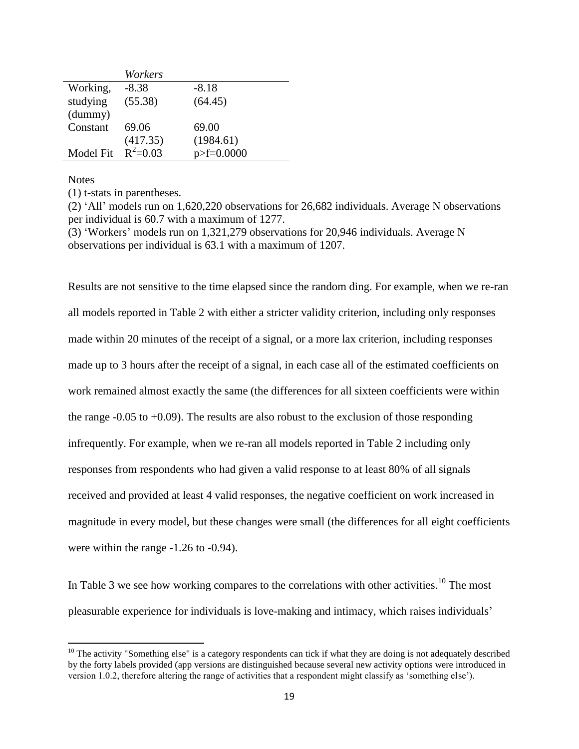|           | Workers    |              |
|-----------|------------|--------------|
| Working,  | $-8.38$    | $-8.18$      |
| studying  | (55.38)    | (64.45)      |
| (dummy)   |            |              |
| Constant  | 69.06      | 69.00        |
|           | (417.35)   | (1984.61)    |
| Model Fit | $R^2=0.03$ | $p>F=0.0000$ |

#### **Notes**

 $\overline{\phantom{a}}$ 

(1) t-stats in parentheses.

(2) 'All' models run on 1,620,220 observations for 26,682 individuals. Average N observations per individual is 60.7 with a maximum of 1277.

(3) 'Workers' models run on 1,321,279 observations for 20,946 individuals. Average N observations per individual is 63.1 with a maximum of 1207.

Results are not sensitive to the time elapsed since the random ding. For example, when we re-ran all models reported in Table 2 with either a stricter validity criterion, including only responses made within 20 minutes of the receipt of a signal, or a more lax criterion, including responses made up to 3 hours after the receipt of a signal, in each case all of the estimated coefficients on work remained almost exactly the same (the differences for all sixteen coefficients were within the range  $-0.05$  to  $+0.09$ ). The results are also robust to the exclusion of those responding infrequently. For example, when we re-ran all models reported in Table 2 including only responses from respondents who had given a valid response to at least 80% of all signals received and provided at least 4 valid responses, the negative coefficient on work increased in magnitude in every model, but these changes were small (the differences for all eight coefficients were within the range -1.26 to -0.94).

In Table 3 we see how working compares to the correlations with other activities.<sup>10</sup> The most pleasurable experience for individuals is love-making and intimacy, which raises individuals'

 $10$  The activity "Something else" is a category respondents can tick if what they are doing is not adequately described by the forty labels provided (app versions are distinguished because several new activity options were introduced in version 1.0.2, therefore altering the range of activities that a respondent might classify as 'something else').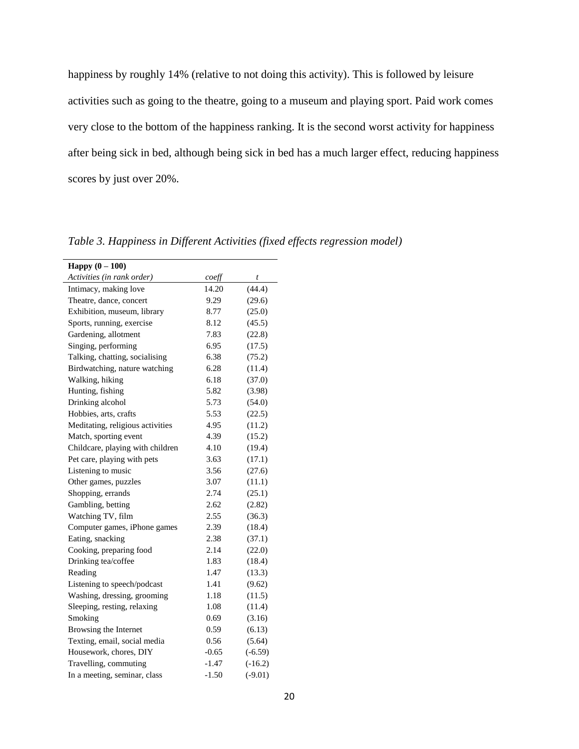happiness by roughly 14% (relative to not doing this activity). This is followed by leisure activities such as going to the theatre, going to a museum and playing sport. Paid work comes very close to the bottom of the happiness ranking. It is the second worst activity for happiness after being sick in bed, although being sick in bed has a much larger effect, reducing happiness scores by just over 20%.

| <b>Happy</b> $(0 - 100)$         |         |           |
|----------------------------------|---------|-----------|
| Activities (in rank order)       | coeff   | t         |
| Intimacy, making love            | 14.20   | (44.4)    |
| Theatre, dance, concert          | 9.29    | (29.6)    |
| Exhibition, museum, library      | 8.77    | (25.0)    |
| Sports, running, exercise        | 8.12    | (45.5)    |
| Gardening, allotment             | 7.83    | (22.8)    |
| Singing, performing              | 6.95    | (17.5)    |
| Talking, chatting, socialising   | 6.38    | (75.2)    |
| Birdwatching, nature watching    | 6.28    | (11.4)    |
| Walking, hiking                  | 6.18    | (37.0)    |
| Hunting, fishing                 | 5.82    | (3.98)    |
| Drinking alcohol                 | 5.73    | (54.0)    |
| Hobbies, arts, crafts            | 5.53    | (22.5)    |
| Meditating, religious activities | 4.95    | (11.2)    |
| Match, sporting event            | 4.39    | (15.2)    |
| Childcare, playing with children | 4.10    | (19.4)    |
| Pet care, playing with pets      | 3.63    | (17.1)    |
| Listening to music               | 3.56    | (27.6)    |
| Other games, puzzles             | 3.07    | (11.1)    |
| Shopping, errands                | 2.74    | (25.1)    |
| Gambling, betting                | 2.62    | (2.82)    |
| Watching TV, film                | 2.55    | (36.3)    |
| Computer games, iPhone games     | 2.39    | (18.4)    |
| Eating, snacking                 | 2.38    | (37.1)    |
| Cooking, preparing food          | 2.14    | (22.0)    |
| Drinking tea/coffee              | 1.83    | (18.4)    |
| Reading                          | 1.47    | (13.3)    |
| Listening to speech/podcast      | 1.41    | (9.62)    |
| Washing, dressing, grooming      | 1.18    | (11.5)    |
| Sleeping, resting, relaxing      | 1.08    | (11.4)    |
| Smoking                          | 0.69    | (3.16)    |
| Browsing the Internet            | 0.59    | (6.13)    |
| Texting, email, social media     | 0.56    | (5.64)    |
| Housework, chores, DIY           | $-0.65$ | $(-6.59)$ |
| Travelling, commuting            | $-1.47$ | $(-16.2)$ |
| In a meeting, seminar, class     | $-1.50$ | $(-9.01)$ |

*Table 3. Happiness in Different Activities (fixed effects regression model)*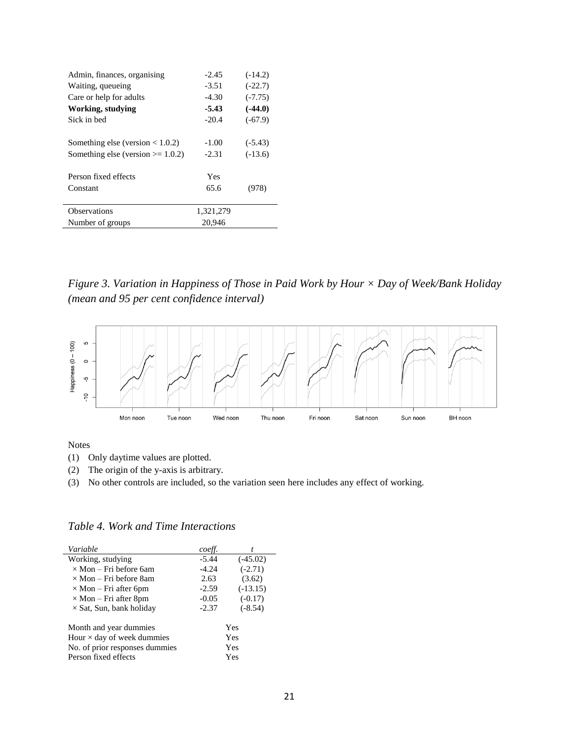| Admin, finances, organising            | $-2.45$   | $(-14.2)$ |
|----------------------------------------|-----------|-----------|
| Waiting, queueing                      | $-3.51$   | $(-22.7)$ |
| Care or help for adults                | $-4.30$   | $(-7.75)$ |
| <b>Working, studying</b>               | $-5.43$   | $(-44.0)$ |
| Sick in bed                            | $-20.4$   | $(-67.9)$ |
|                                        |           |           |
| Something else (version $< 1.0.2$ )    | $-1.00$   | $(-5.43)$ |
| Something else (version $\ge$ = 1.0.2) | $-2.31$   | $(-13.6)$ |
|                                        |           |           |
| Person fixed effects                   | Yes       |           |
| Constant                               | 65.6      | 978)      |
|                                        |           |           |
| <b>Observations</b>                    | 1,321,279 |           |
| Number of groups                       | 20,946    |           |

*Figure 3. Variation in Happiness of Those in Paid Work by Hour × Day of Week/Bank Holiday (mean and 95 per cent confidence interval)*



Notes

 $\overline{a}$ 

(1) Only daytime values are plotted.

(2) The origin of the y-axis is arbitrary.

(3) No other controls are included, so the variation seen here includes any effect of working.

| Variable                          | coeff.  |            |
|-----------------------------------|---------|------------|
| Working, studying                 | $-5.44$ | $(-45.02)$ |
| $\times$ Mon – Fri before 6am     | $-4.24$ | $(-2.71)$  |
| $\times$ Mon – Fri before 8am     | 2.63    | (3.62)     |
| $\times$ Mon – Fri after 6pm      | $-2.59$ | $(-13.15)$ |
| $\times$ Mon – Fri after 8pm      | $-0.05$ | $(-0.17)$  |
| $\times$ Sat, Sun, bank holiday   | $-2.37$ | $(-8.54)$  |
| Month and year dummies<br>Yes     |         |            |
| Hour $\times$ day of week dummies | Yes     |            |
| No. of prior responses dummies    | Yes     |            |
| Person fixed effects              |         | Yes        |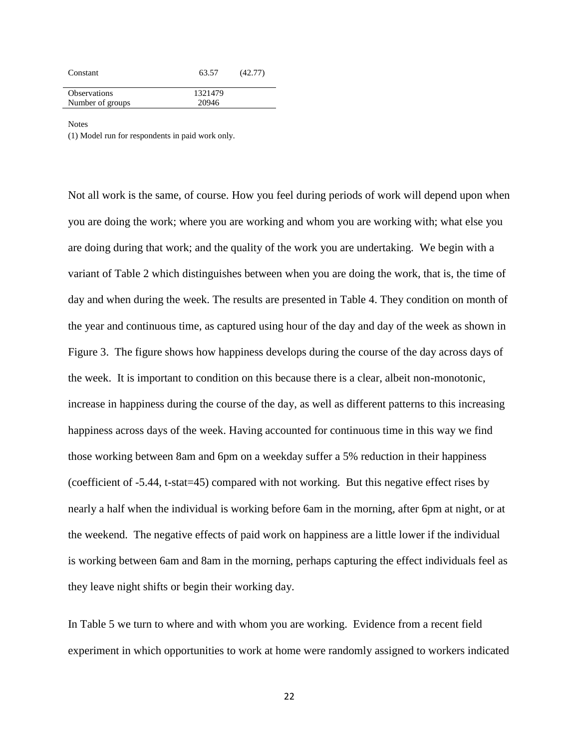| Constant            | 63.57   | (42.77) |
|---------------------|---------|---------|
| <b>Observations</b> | 1321479 |         |
| Number of groups    | 20946   |         |
|                     |         |         |

**Notes** 

(1) Model run for respondents in paid work only.

Not all work is the same, of course. How you feel during periods of work will depend upon when you are doing the work; where you are working and whom you are working with; what else you are doing during that work; and the quality of the work you are undertaking. We begin with a variant of Table 2 which distinguishes between when you are doing the work, that is, the time of day and when during the week. The results are presented in Table 4. They condition on month of the year and continuous time, as captured using hour of the day and day of the week as shown in Figure 3. The figure shows how happiness develops during the course of the day across days of the week. It is important to condition on this because there is a clear, albeit non-monotonic, increase in happiness during the course of the day, as well as different patterns to this increasing happiness across days of the week. Having accounted for continuous time in this way we find those working between 8am and 6pm on a weekday suffer a 5% reduction in their happiness (coefficient of -5.44, t-stat=45) compared with not working. But this negative effect rises by nearly a half when the individual is working before 6am in the morning, after 6pm at night, or at the weekend. The negative effects of paid work on happiness are a little lower if the individual is working between 6am and 8am in the morning, perhaps capturing the effect individuals feel as they leave night shifts or begin their working day.

In Table 5 we turn to where and with whom you are working. Evidence from a recent field experiment in which opportunities to work at home were randomly assigned to workers indicated

22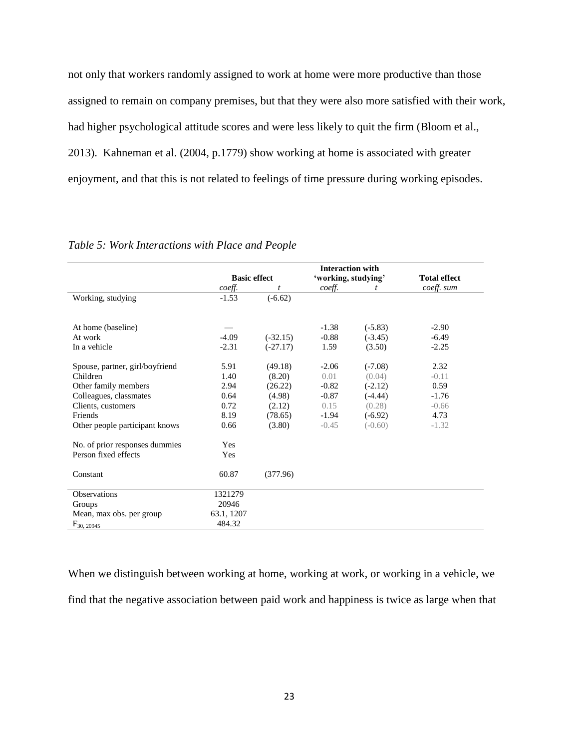not only that workers randomly assigned to work at home were more productive than those assigned to remain on company premises, but that they were also more satisfied with their work, had higher psychological attitude scores and were less likely to quit the firm (Bloom et al., 2013). Kahneman et al. (2004, p.1779) show working at home is associated with greater enjoyment, and that this is not related to feelings of time pressure during working episodes.

|                                 |                     |            | <b>Interaction with</b> |           |                     |
|---------------------------------|---------------------|------------|-------------------------|-----------|---------------------|
|                                 | <b>Basic effect</b> |            | 'working, studying'     |           | <b>Total effect</b> |
|                                 | coeff.              | t          | coeff.                  | t         | coeff. sum          |
| Working, studying               | $-1.53$             | $(-6.62)$  |                         |           |                     |
|                                 |                     |            |                         |           |                     |
| At home (baseline)              |                     |            | $-1.38$                 | $(-5.83)$ | $-2.90$             |
| At work                         | $-4.09$             | $(-32.15)$ | $-0.88$                 | $(-3.45)$ | $-6.49$             |
| In a vehicle                    | $-2.31$             | $(-27.17)$ | 1.59                    | (3.50)    | $-2.25$             |
| Spouse, partner, girl/boyfriend | 5.91                | (49.18)    | $-2.06$                 | $(-7.08)$ | 2.32                |
| Children                        | 1.40                | (8.20)     | 0.01                    | (0.04)    | $-0.11$             |
| Other family members            | 2.94                | (26.22)    | $-0.82$                 | $(-2.12)$ | 0.59                |
| Colleagues, classmates          | 0.64                | (4.98)     | $-0.87$                 | $(-4.44)$ | $-1.76$             |
| Clients, customers              | 0.72                | (2.12)     | 0.15                    | (0.28)    | $-0.66$             |
| Friends                         | 8.19                | (78.65)    | $-1.94$                 | $(-6.92)$ | 4.73                |
| Other people participant knows  | 0.66                | (3.80)     | $-0.45$                 | $(-0.60)$ | $-1.32$             |
| No. of prior responses dummies  | <b>Yes</b>          |            |                         |           |                     |
| Person fixed effects            | Yes                 |            |                         |           |                     |
| Constant                        | 60.87               | (377.96)   |                         |           |                     |
| <b>Observations</b>             | 1321279             |            |                         |           |                     |
| Groups                          | 20946               |            |                         |           |                     |
| Mean, max obs. per group        | 63.1, 1207          |            |                         |           |                     |
| $F_{30, 20945}$                 | 484.32              |            |                         |           |                     |

*Table 5: Work Interactions with Place and People*

When we distinguish between working at home, working at work, or working in a vehicle, we find that the negative association between paid work and happiness is twice as large when that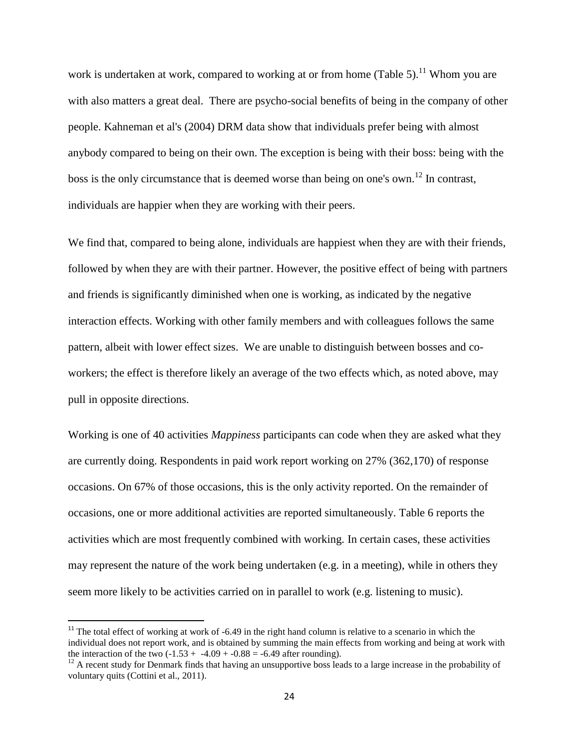work is undertaken at work, compared to working at or from home (Table 5).<sup>11</sup> Whom you are with also matters a great deal. There are psycho-social benefits of being in the company of other people. Kahneman et al's (2004) DRM data show that individuals prefer being with almost anybody compared to being on their own. The exception is being with their boss: being with the boss is the only circumstance that is deemed worse than being on one's own.<sup>12</sup> In contrast, individuals are happier when they are working with their peers.

We find that, compared to being alone, individuals are happiest when they are with their friends, followed by when they are with their partner. However, the positive effect of being with partners and friends is significantly diminished when one is working, as indicated by the negative interaction effects. Working with other family members and with colleagues follows the same pattern, albeit with lower effect sizes. We are unable to distinguish between bosses and coworkers; the effect is therefore likely an average of the two effects which, as noted above, may pull in opposite directions.

Working is one of 40 activities *Mappiness* participants can code when they are asked what they are currently doing. Respondents in paid work report working on 27% (362,170) of response occasions. On 67% of those occasions, this is the only activity reported. On the remainder of occasions, one or more additional activities are reported simultaneously. Table 6 reports the activities which are most frequently combined with working. In certain cases, these activities may represent the nature of the work being undertaken (e.g. in a meeting), while in others they seem more likely to be activities carried on in parallel to work (e.g. listening to music).

 $\overline{a}$ 

 $11$ <sup>11</sup> The total effect of working at work of -6.49 in the right hand column is relative to a scenario in which the individual does not report work, and is obtained by summing the main effects from working and being at work with the interaction of the two  $(-1.53 + -4.09 + -0.88 = -6.49$  after rounding).

 $12$  A recent study for Denmark finds that having an unsupportive boss leads to a large increase in the probability of voluntary quits (Cottini et al., 2011).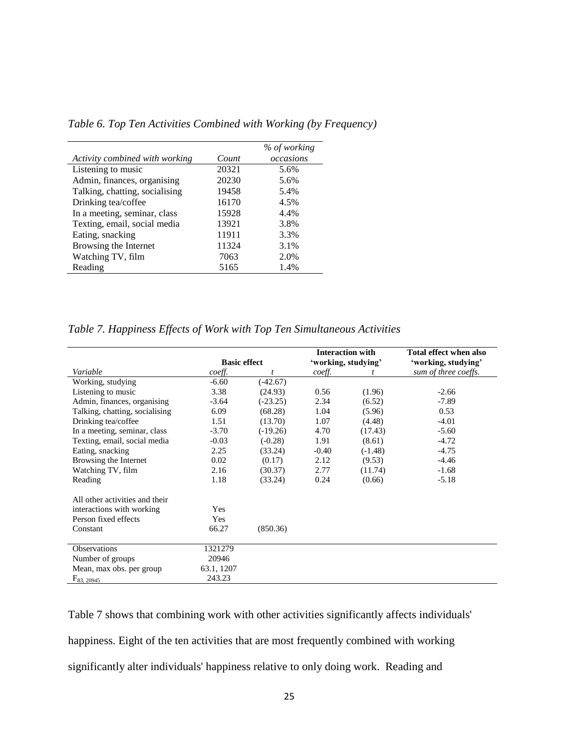|                                |       | % of working |
|--------------------------------|-------|--------------|
| Activity combined with working | Count | occasions    |
| Listening to music             | 20321 | 5.6%         |
| Admin, finances, organising    | 20230 | 5.6%         |
| Talking, chatting, socialising | 19458 | 5.4%         |
| Drinking tea/coffee            | 16170 | 4.5%         |
| In a meeting, seminar, class   | 15928 | 4.4%         |
| Texting, email, social media   | 13921 | 3.8%         |
| Eating, snacking               | 11911 | 3.3%         |
| Browsing the Internet          | 11324 | 3.1%         |
| Watching TV, film              | 7063  | 2.0%         |
| Reading                        | 5165  | 1.4%         |

*Table 6. Top Ten Activities Combined with Working (by Frequency)*

*Table 7. Happiness Effects of Work with Top Ten Simultaneous Activities*

|                                |                     |            |                | <b>Interaction with</b> | Total effect when also |  |  |
|--------------------------------|---------------------|------------|----------------|-------------------------|------------------------|--|--|
|                                | <b>Basic effect</b> |            |                | 'working, studying'     | 'working, studying'    |  |  |
| Variable                       | coeff.              |            | coeff.         |                         | sum of three coeffs.   |  |  |
| Working, studying              | $-6.60$             | $(-42.67)$ |                |                         |                        |  |  |
| Listening to music             | 3.38                | (24.93)    | 0.56           | (1.96)                  | $-2.66$                |  |  |
| Admin, finances, organising    | $-3.64$             | $(-23.25)$ | 2.34<br>(6.52) |                         | $-7.89$                |  |  |
| Talking, chatting, socialising | 6.09                | (68.28)    | 1.04           | (5.96)                  | 0.53                   |  |  |
| Drinking tea/coffee            | 1.51                | (13.70)    | 1.07           | (4.48)                  | $-4.01$                |  |  |
| In a meeting, seminar, class   | $-3.70$             | $(-19.26)$ | 4.70           | (17.43)                 | $-5.60$                |  |  |
| Texting, email, social media   | $-0.03$             | $(-0.28)$  | 1.91           | (8.61)                  | $-4.72$                |  |  |
| Eating, snacking               | 2.25                | (33.24)    | $-0.40$        | $(-1.48)$               | $-4.75$                |  |  |
| Browsing the Internet          | 0.02                | (0.17)     | 2.12           | (9.53)                  | $-4.46$                |  |  |
| Watching TV, film              | 2.16                | (30.37)    | 2.77           | (11.74)                 | $-1.68$                |  |  |
| Reading                        | 1.18                | (33.24)    | 0.24           | (0.66)                  | $-5.18$                |  |  |
| All other activities and their |                     |            |                |                         |                        |  |  |
| interactions with working      | Yes                 |            |                |                         |                        |  |  |
| Person fixed effects           | Yes                 |            |                |                         |                        |  |  |
| Constant                       | 66.27               | (850.36)   |                |                         |                        |  |  |
| Observations                   | 1321279             |            |                |                         |                        |  |  |
| Number of groups               | 20946               |            |                |                         |                        |  |  |
| Mean, max obs. per group       | 63.1, 1207          |            |                |                         |                        |  |  |
| $F_{83, 20945}$                | 243.23              |            |                |                         |                        |  |  |

Table 7 shows that combining work with other activities significantly affects individuals' happiness. Eight of the ten activities that are most frequently combined with working significantly alter individuals' happiness relative to only doing work. Reading and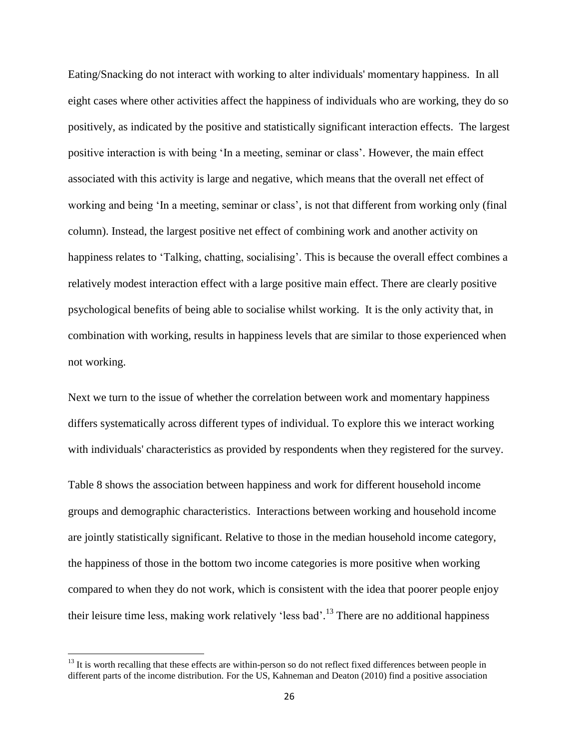Eating/Snacking do not interact with working to alter individuals' momentary happiness. In all eight cases where other activities affect the happiness of individuals who are working, they do so positively, as indicated by the positive and statistically significant interaction effects. The largest positive interaction is with being 'In a meeting, seminar or class'. However, the main effect associated with this activity is large and negative, which means that the overall net effect of working and being 'In a meeting, seminar or class', is not that different from working only (final column). Instead, the largest positive net effect of combining work and another activity on happiness relates to 'Talking, chatting, socialising'. This is because the overall effect combines a relatively modest interaction effect with a large positive main effect. There are clearly positive psychological benefits of being able to socialise whilst working. It is the only activity that, in combination with working, results in happiness levels that are similar to those experienced when not working.

Next we turn to the issue of whether the correlation between work and momentary happiness differs systematically across different types of individual. To explore this we interact working with individuals' characteristics as provided by respondents when they registered for the survey.

Table 8 shows the association between happiness and work for different household income groups and demographic characteristics. Interactions between working and household income are jointly statistically significant. Relative to those in the median household income category, the happiness of those in the bottom two income categories is more positive when working compared to when they do not work, which is consistent with the idea that poorer people enjoy their leisure time less, making work relatively 'less bad'.<sup>13</sup> There are no additional happiness

 $\overline{\phantom{a}}$ 

 $13$  It is worth recalling that these effects are within-person so do not reflect fixed differences between people in different parts of the income distribution. For the US, Kahneman and Deaton (2010) find a positive association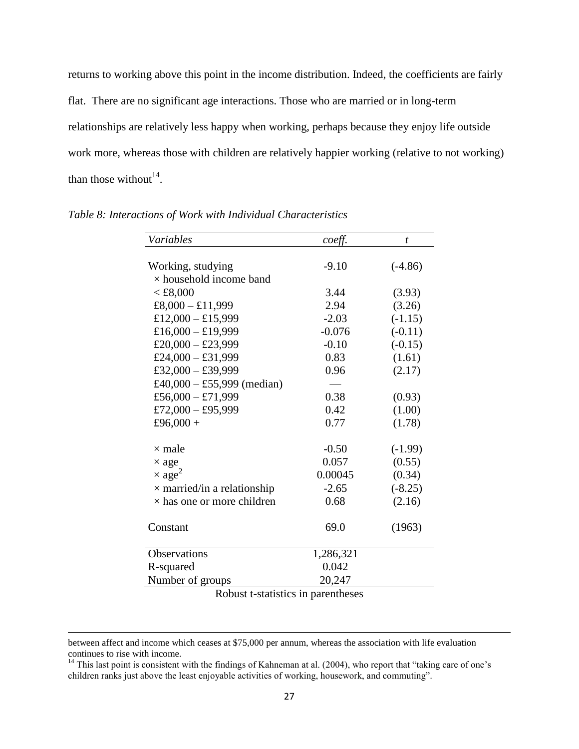returns to working above this point in the income distribution. Indeed, the coefficients are fairly flat. There are no significant age interactions. Those who are married or in long-term relationships are relatively less happy when working, perhaps because they enjoy life outside work more, whereas those with children are relatively happier working (relative to not working) than those without<sup>14</sup>.

| Variables                          | coeff.    | t         |
|------------------------------------|-----------|-----------|
|                                    |           |           |
| Working, studying                  | $-9.10$   | $(-4.86)$ |
| $\times$ household income band     |           |           |
| < £8,000                           | 3.44      | (3.93)    |
| £8,000 - £11,999                   | 2.94      | (3.26)    |
| £12,000 - £15,999                  | $-2.03$   | $(-1.15)$ |
| £16,000 - £19,999                  | $-0.076$  | $(-0.11)$ |
| £20,000 - £23,999                  | $-0.10$   | $(-0.15)$ |
| £24,000 - £31,999                  | 0.83      | (1.61)    |
| £32,000 - £39,999                  | 0.96      | (2.17)    |
| £40,000 - £55,999 (median)         |           |           |
| £56,000 - £71,999                  | 0.38      | (0.93)    |
| £72,000 - £95,999                  | 0.42      | (1.00)    |
| £96,000 +                          | 0.77      | (1.78)    |
| $\times$ male                      | $-0.50$   | $(-1.99)$ |
| $\times$ age                       | 0.057     | (0.55)    |
| $\times$ age <sup>2</sup>          | 0.00045   | (0.34)    |
| $\times$ married/in a relationship | $-2.65$   | $(-8.25)$ |
| $\times$ has one or more children  | 0.68      | (2.16)    |
| Constant                           | 69.0      | (1963)    |
| Observations                       | 1,286,321 |           |
| R-squared                          | 0.042     |           |
| Number of groups                   | 20,247    |           |

*Table 8: Interactions of Work with Individual Characteristics*

Robust t-statistics in parentheses

 $\overline{\phantom{a}}$ 

between affect and income which ceases at \$75,000 per annum, whereas the association with life evaluation continues to rise with income.

<sup>&</sup>lt;sup>14</sup> This last point is consistent with the findings of Kahneman at al. (2004), who report that "taking care of one's children ranks just above the least enjoyable activities of working, housework, and commuting".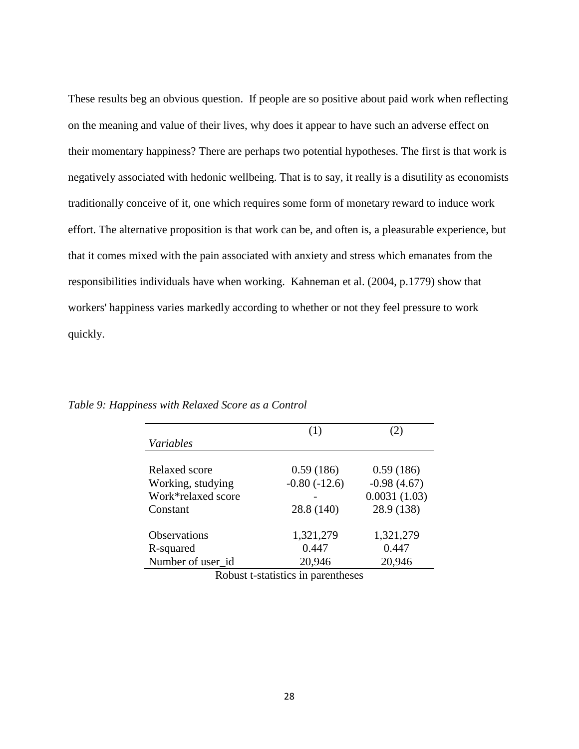These results beg an obvious question. If people are so positive about paid work when reflecting on the meaning and value of their lives, why does it appear to have such an adverse effect on their momentary happiness? There are perhaps two potential hypotheses. The first is that work is negatively associated with hedonic wellbeing. That is to say, it really is a disutility as economists traditionally conceive of it, one which requires some form of monetary reward to induce work effort. The alternative proposition is that work can be, and often is, a pleasurable experience, but that it comes mixed with the pain associated with anxiety and stress which emanates from the responsibilities individuals have when working. Kahneman et al. (2004, p.1779) show that workers' happiness varies markedly according to whether or not they feel pressure to work quickly.

|                    | (1)            | (2)           |
|--------------------|----------------|---------------|
| Variables          |                |               |
|                    |                |               |
| Relaxed score      | 0.59(186)      | 0.59(186)     |
| Working, studying  | $-0.80(-12.6)$ | $-0.98(4.67)$ |
| Work*relaxed score |                | 0.0031(1.03)  |
| Constant           | 28.8 (140)     | 28.9 (138)    |
| Observations       | 1,321,279      | 1,321,279     |
| R-squared          | 0.447          | 0.447         |
| Number of user_id  | 20,946         | 20,946        |

*Table 9: Happiness with Relaxed Score as a Control*

Robust t-statistics in parentheses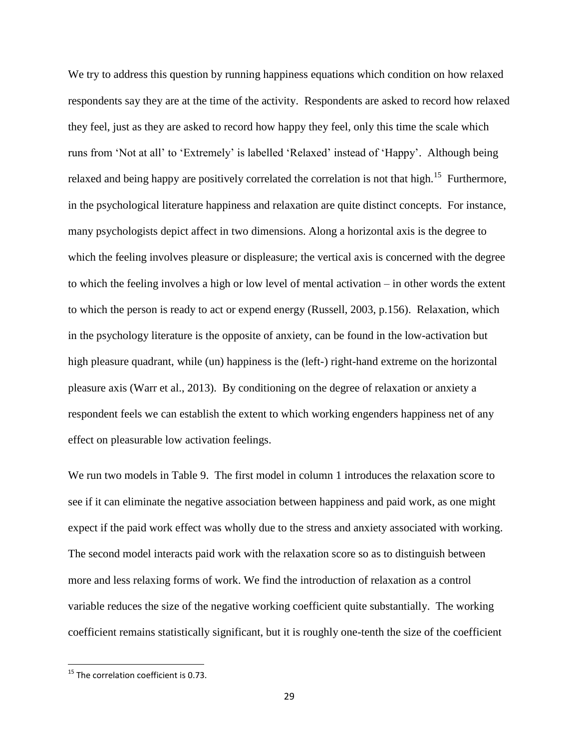We try to address this question by running happiness equations which condition on how relaxed respondents say they are at the time of the activity. Respondents are asked to record how relaxed they feel, just as they are asked to record how happy they feel, only this time the scale which runs from 'Not at all' to 'Extremely' is labelled 'Relaxed' instead of 'Happy'. Although being relaxed and being happy are positively correlated the correlation is not that high.<sup>15</sup> Furthermore, in the psychological literature happiness and relaxation are quite distinct concepts. For instance, many psychologists depict affect in two dimensions. Along a horizontal axis is the degree to which the feeling involves pleasure or displeasure; the vertical axis is concerned with the degree to which the feeling involves a high or low level of mental activation – in other words the extent to which the person is ready to act or expend energy (Russell, 2003, p.156). Relaxation, which in the psychology literature is the opposite of anxiety, can be found in the low-activation but high pleasure quadrant, while (un) happiness is the (left-) right-hand extreme on the horizontal pleasure axis (Warr et al., 2013). By conditioning on the degree of relaxation or anxiety a respondent feels we can establish the extent to which working engenders happiness net of any effect on pleasurable low activation feelings.

We run two models in Table 9. The first model in column 1 introduces the relaxation score to see if it can eliminate the negative association between happiness and paid work, as one might expect if the paid work effect was wholly due to the stress and anxiety associated with working. The second model interacts paid work with the relaxation score so as to distinguish between more and less relaxing forms of work. We find the introduction of relaxation as a control variable reduces the size of the negative working coefficient quite substantially. The working coefficient remains statistically significant, but it is roughly one-tenth the size of the coefficient

 $\overline{\phantom{a}}$ 

 $15$  The correlation coefficient is 0.73.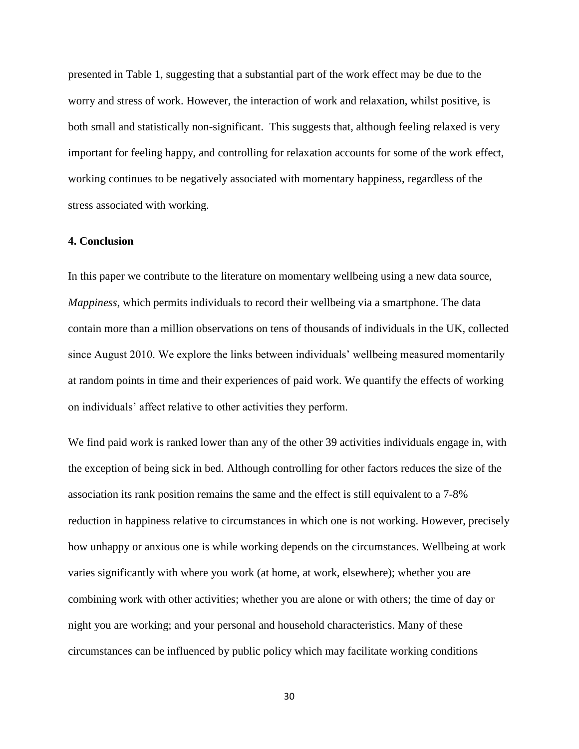presented in Table 1, suggesting that a substantial part of the work effect may be due to the worry and stress of work. However, the interaction of work and relaxation, whilst positive, is both small and statistically non-significant. This suggests that, although feeling relaxed is very important for feeling happy, and controlling for relaxation accounts for some of the work effect, working continues to be negatively associated with momentary happiness, regardless of the stress associated with working.

### **4. Conclusion**

In this paper we contribute to the literature on momentary wellbeing using a new data source, *Mappiness*, which permits individuals to record their wellbeing via a smartphone. The data contain more than a million observations on tens of thousands of individuals in the UK, collected since August 2010. We explore the links between individuals' wellbeing measured momentarily at random points in time and their experiences of paid work. We quantify the effects of working on individuals' affect relative to other activities they perform.

We find paid work is ranked lower than any of the other 39 activities individuals engage in, with the exception of being sick in bed. Although controlling for other factors reduces the size of the association its rank position remains the same and the effect is still equivalent to a 7-8% reduction in happiness relative to circumstances in which one is not working. However, precisely how unhappy or anxious one is while working depends on the circumstances. Wellbeing at work varies significantly with where you work (at home, at work, elsewhere); whether you are combining work with other activities; whether you are alone or with others; the time of day or night you are working; and your personal and household characteristics. Many of these circumstances can be influenced by public policy which may facilitate working conditions

30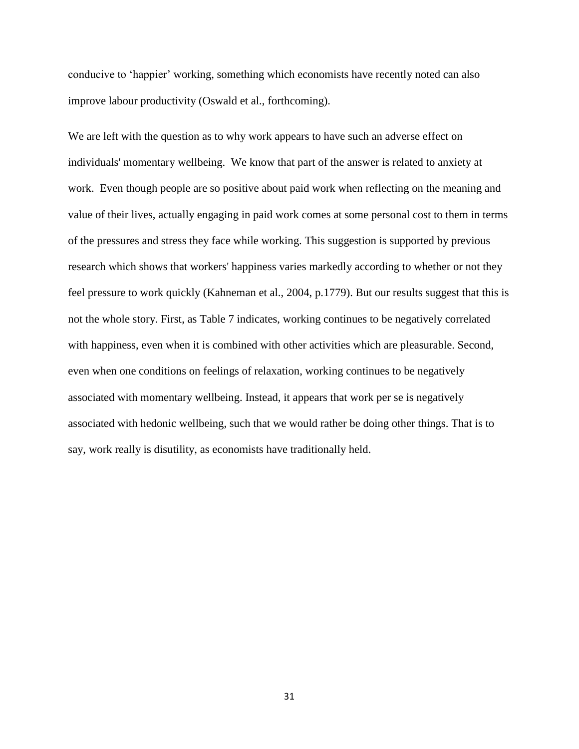conducive to 'happier' working, something which economists have recently noted can also improve labour productivity (Oswald et al., forthcoming).

We are left with the question as to why work appears to have such an adverse effect on individuals' momentary wellbeing. We know that part of the answer is related to anxiety at work. Even though people are so positive about paid work when reflecting on the meaning and value of their lives, actually engaging in paid work comes at some personal cost to them in terms of the pressures and stress they face while working. This suggestion is supported by previous research which shows that workers' happiness varies markedly according to whether or not they feel pressure to work quickly (Kahneman et al., 2004, p.1779). But our results suggest that this is not the whole story. First, as Table 7 indicates, working continues to be negatively correlated with happiness, even when it is combined with other activities which are pleasurable. Second, even when one conditions on feelings of relaxation, working continues to be negatively associated with momentary wellbeing. Instead, it appears that work per se is negatively associated with hedonic wellbeing, such that we would rather be doing other things. That is to say, work really is disutility, as economists have traditionally held.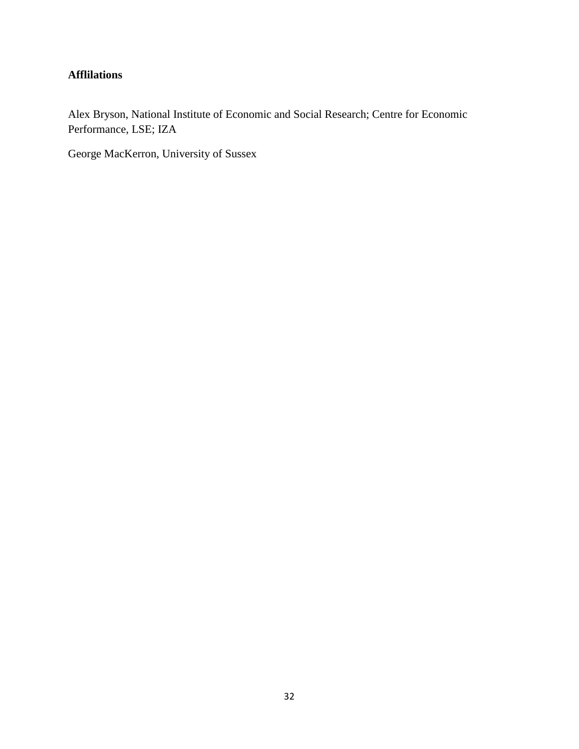# **Afflilations**

Alex Bryson, National Institute of Economic and Social Research; Centre for Economic Performance, LSE; IZA

George MacKerron, University of Sussex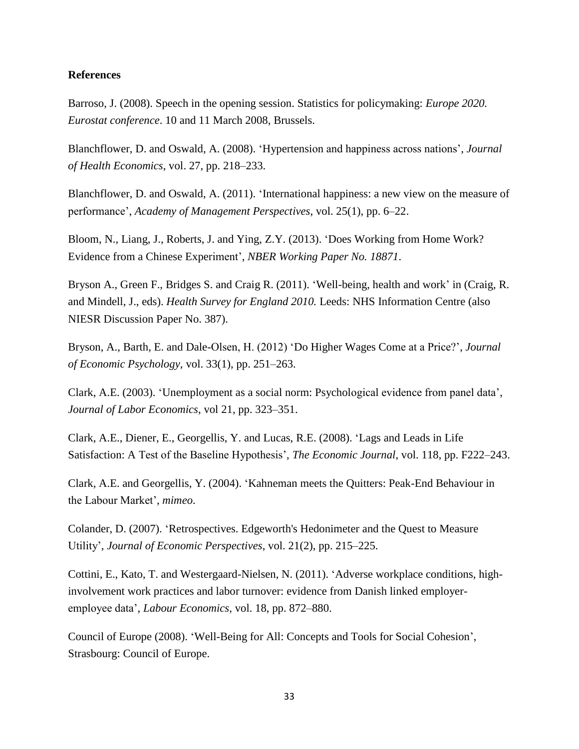### **References**

Barroso, J. (2008). Speech in the opening session. Statistics for policymaking: *Europe 2020. Eurostat conference*. 10 and 11 March 2008, Brussels.

Blanchflower, D. and Oswald, A. (2008). 'Hypertension and happiness across nations', *Journal of Health Economics*, vol. 27, pp. 218–233.

Blanchflower, D. and Oswald, A. (2011). 'International happiness: a new view on the measure of performance', *Academy of Management Perspectives*, vol. 25(1), pp. 6–22.

Bloom, N., Liang, J., Roberts, J. and Ying, Z.Y. (2013). 'Does Working from Home Work? Evidence from a Chinese Experiment', *NBER Working Paper No. 18871*.

Bryson A., Green F., Bridges S. and Craig R. (2011). 'Well-being, health and work' in (Craig, R. and Mindell, J., eds). *Health Survey for England 2010.* Leeds: NHS Information Centre (also NIESR Discussion Paper No. 387).

Bryson, A., Barth, E. and Dale-Olsen, H. (2012) 'Do Higher Wages Come at a Price?', *Journal of Economic Psychology*, vol. 33(1), pp. 251–263.

Clark, A.E. (2003). 'Unemployment as a social norm: Psychological evidence from panel data', *Journal of Labor Economics*, vol 21, pp. 323–351.

Clark, A.E., Diener, E., Georgellis, Y. and Lucas, R.E. (2008). 'Lags and Leads in Life Satisfaction: A Test of the Baseline Hypothesis', *The Economic Journal*, vol. 118, pp. F222–243.

Clark, A.E. and Georgellis, Y. (2004). 'Kahneman meets the Quitters: Peak-End Behaviour in the Labour Market', *mimeo*.

Colander, D. (2007). 'Retrospectives. Edgeworth's Hedonimeter and the Quest to Measure Utility', *Journal of Economic Perspectives*, vol. 21(2), pp. 215–225.

Cottini, E., Kato, T. and Westergaard-Nielsen, N. (2011). 'Adverse workplace conditions, highinvolvement work practices and labor turnover: evidence from Danish linked employeremployee data', *Labour Economics*, vol. 18, pp. 872–880.

Council of Europe (2008). 'Well-Being for All: Concepts and Tools for Social Cohesion', Strasbourg: Council of Europe.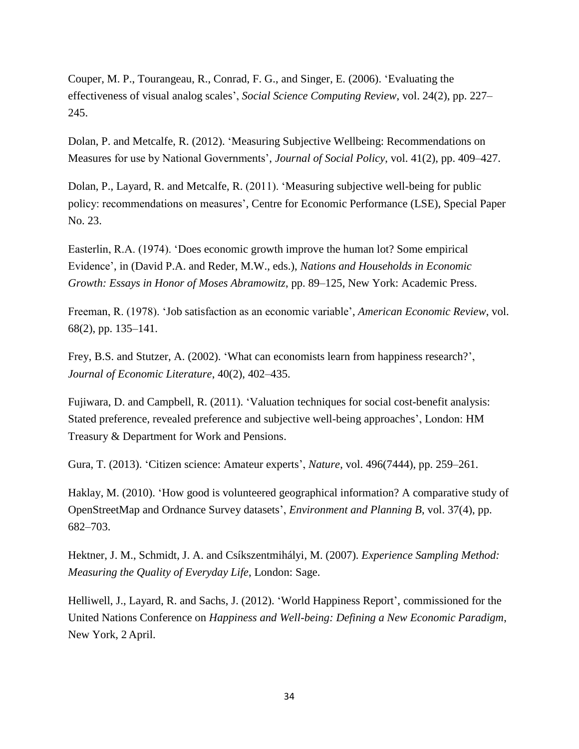Couper, M. P., Tourangeau, R., Conrad, F. G., and Singer, E. (2006). 'Evaluating the effectiveness of visual analog scales', *Social Science Computing Review*, vol. 24(2), pp. 227– 245.

Dolan, P. and Metcalfe, R. (2012). 'Measuring Subjective Wellbeing: Recommendations on Measures for use by National Governments', *Journal of Social Policy*, vol. 41(2), pp. 409–427.

Dolan, P., Layard, R. and Metcalfe, R. (2011). 'Measuring subjective well-being for public policy: recommendations on measures', Centre for Economic Performance (LSE), Special Paper No. 23.

Easterlin, R.A. (1974). 'Does economic growth improve the human lot? Some empirical Evidence', in (David P.A. and Reder, M.W., eds.), *Nations and Households in Economic Growth: Essays in Honor of Moses Abramowitz*, pp. 89–125, New York: Academic Press.

Freeman, R. (1978). 'Job satisfaction as an economic variable', *American Economic Review*, vol. 68(2), pp. 135–141.

Frey, B.S. and Stutzer, A. (2002). 'What can economists learn from happiness research?', *Journal of Economic Literature*, 40(2), 402–435.

Fujiwara, D. and Campbell, R. (2011). 'Valuation techniques for social cost-benefit analysis: Stated preference, revealed preference and subjective well-being approaches', London: HM Treasury & Department for Work and Pensions.

Gura, T. (2013). 'Citizen science: Amateur experts', *Nature*, vol. 496(7444), pp. 259–261.

Haklay, M. (2010). 'How good is volunteered geographical information? A comparative study of OpenStreetMap and Ordnance Survey datasets', *Environment and Planning B*, vol. 37(4), pp. 682–703.

Hektner, J. M., Schmidt, J. A. and Csíkszentmihályi, M. (2007). *Experience Sampling Method: Measuring the Quality of Everyday Life*, London: Sage.

Helliwell, J., Layard, R. and Sachs, J. (2012). 'World Happiness Report', commissioned for the United Nations Conference on *Happiness and Well-being: Defining a New Economic Paradigm*, New York, 2 April.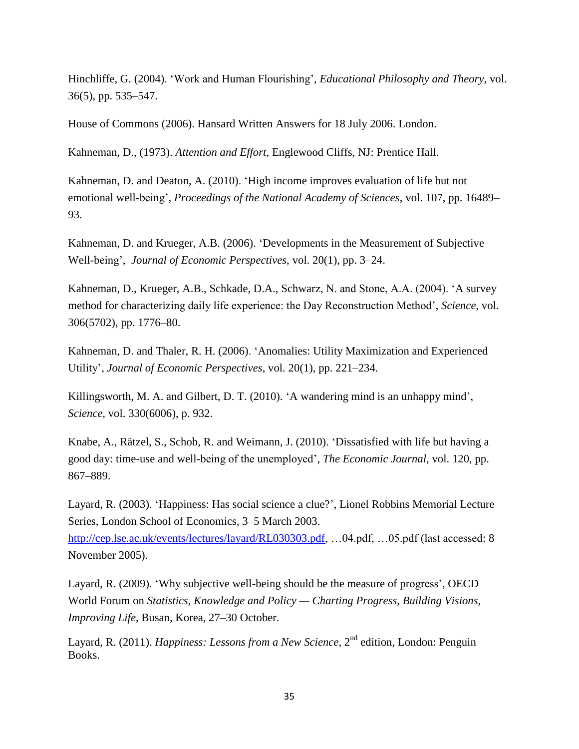Hinchliffe, G. (2004). 'Work and Human Flourishing', *Educational Philosophy and Theory*, vol. 36(5), pp. 535–547.

House of Commons (2006). Hansard Written Answers for 18 July 2006. London.

Kahneman, D., (1973). *Attention and Effort*, Englewood Cliffs, NJ: Prentice Hall.

Kahneman, D. and Deaton, A. (2010). 'High income improves evaluation of life but not emotional well-being', *Proceedings of the National Academy of Sciences*, vol. 107, pp. 16489– 93.

Kahneman, D. and Krueger, A.B. (2006). 'Developments in the Measurement of Subjective Well-being', *Journal of Economic Perspectives*, vol. 20(1), pp. 3–24.

Kahneman, D., Krueger, A.B., Schkade, D.A., Schwarz, N. and Stone, A.A. (2004). 'A survey method for characterizing daily life experience: the Day Reconstruction Method', *Science*, vol. 306(5702), pp. 1776–80.

Kahneman, D. and Thaler, R. H. (2006). 'Anomalies: Utility Maximization and Experienced Utility', *Journal of Economic Perspectives*, vol. 20(1), pp. 221–234.

Killingsworth, M. A. and Gilbert, D. T. (2010). 'A wandering mind is an unhappy mind', *Science*, vol. 330(6006), p. 932.

Knabe, A., Rätzel, S., Schob, R. and Weimann, J. (2010). 'Dissatisfied with life but having a good day: time-use and well-being of the unemployed', *The Economic Journal*, vol. 120, pp. 867–889.

Layard, R. (2003). 'Happiness: Has social science a clue?', Lionel Robbins Memorial Lecture Series, London School of Economics, 3–5 March 2003.

[http://cep.lse.ac.uk/events/lectures/layard/RL030303.pdf,](http://cep.lse.ac.uk/events/lectures/layard/RL030303.pdf) …04.pdf, …05.pdf (last accessed: 8 November 2005).

Layard, R. (2009). 'Why subjective well-being should be the measure of progress', OECD World Forum on *Statistics, Knowledge and Policy — Charting Progress, Building Visions, Improving Life*, Busan, Korea, 27–30 October.

Layard, R. (2011). *Happiness: Lessons from a New Science*, 2<sup>nd</sup> edition, London: Penguin Books.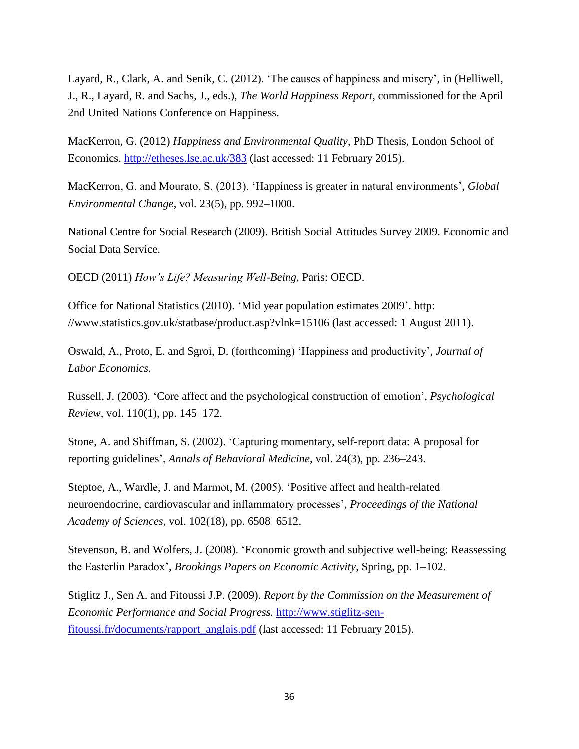Layard, R., Clark, A. and Senik, C. (2012). 'The causes of happiness and misery', in (Helliwell, J., R., Layard, R. and Sachs, J., eds.), *The World Happiness Report*, commissioned for the April 2nd United Nations Conference on Happiness.

MacKerron, G. (2012) *Happiness and Environmental Quality*, PhD Thesis, London School of Economics. [http://etheses.lse.ac.uk/383](https://webmail.niesr.ac.uk/owa/redir.aspx?C=17497299f7ba45df96a68b3764482050&URL=http%3a%2f%2fetheses.lse.ac.uk%2f383) (last accessed: 11 February 2015).

MacKerron, G. and Mourato, S. (2013). 'Happiness is greater in natural environments', *Global Environmental Change*, vol. 23(5), pp. 992–1000.

National Centre for Social Research (2009). British Social Attitudes Survey 2009. Economic and Social Data Service.

OECD (2011) *How's Life? Measuring Well-Being*, Paris: OECD.

Office for National Statistics (2010). 'Mid year population estimates 2009'. http: //www.statistics.gov.uk/statbase/product.asp?vlnk=15106 (last accessed: 1 August 2011).

Oswald, A., Proto, E. and Sgroi, D. (forthcoming) 'Happiness and productivity', *Journal of Labor Economics.*

Russell, J. (2003). 'Core affect and the psychological construction of emotion', *Psychological Review*, vol. 110(1), pp. 145–172.

Stone, A. and Shiffman, S. (2002). 'Capturing momentary, self-report data: A proposal for reporting guidelines', *Annals of Behavioral Medicine*, vol. 24(3), pp. 236–243.

Steptoe, A., Wardle, J. and Marmot, M. (2005). 'Positive affect and health-related neuroendocrine, cardiovascular and inflammatory processes', *Proceedings of the National Academy of Sciences*, vol. 102(18), pp. 6508–6512.

Stevenson, B. and Wolfers, J. (2008). 'Economic growth and subjective well-being: Reassessing the Easterlin Paradox', *Brookings Papers on Economic Activity*, Spring, pp. 1–102.

Stiglitz J., Sen A. and Fitoussi J.P. (2009). *Report by the Commission on the Measurement of Economic Performance and Social Progress.* [http://www.stiglitz-sen](http://www.stiglitz-sen-fitoussi.fr/documents/rapport_anglais.pdf)[fitoussi.fr/documents/rapport\\_anglais.pdf](http://www.stiglitz-sen-fitoussi.fr/documents/rapport_anglais.pdf) (last accessed: 11 February 2015).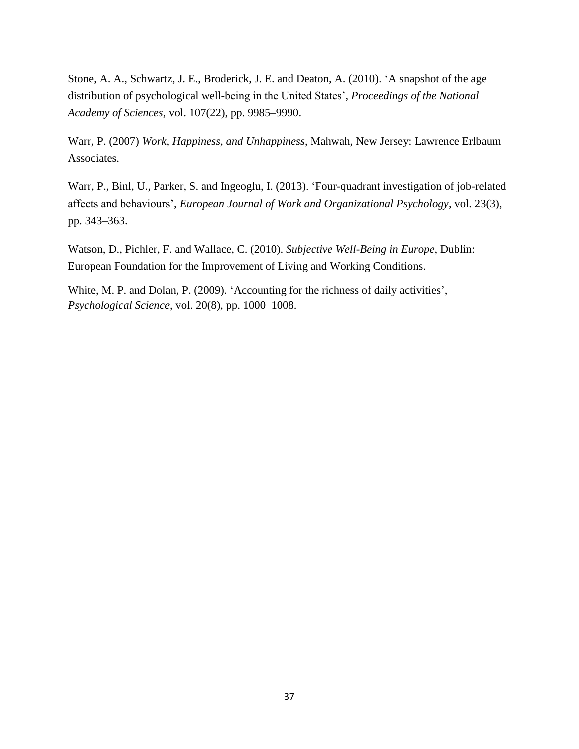Stone, A. A., Schwartz, J. E., Broderick, J. E. and Deaton, A. (2010). 'A snapshot of the age distribution of psychological well-being in the United States', *Proceedings of the National Academy of Sciences*, vol. 107(22), pp. 9985–9990.

Warr, P. (2007) *Work, Happiness, and Unhappiness*, Mahwah, New Jersey: Lawrence Erlbaum Associates.

Warr, P., Binl, U., Parker, S. and Ingeoglu, I. (2013). 'Four-quadrant investigation of job-related affects and behaviours', *European Journal of Work and Organizational Psychology*, vol. 23(3), pp. 343–363.

Watson, D., Pichler, F. and Wallace, C. (2010). *Subjective Well-Being in Europe*, Dublin: European Foundation for the Improvement of Living and Working Conditions.

White, M. P. and Dolan, P. (2009). 'Accounting for the richness of daily activities', *Psychological Science*, vol. 20(8), pp. 1000–1008.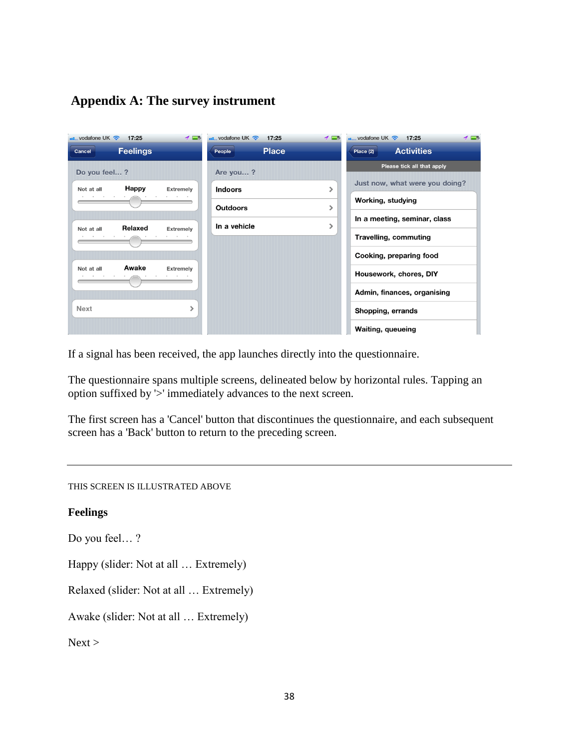# **Appendix A: The survey instrument**

| $H_{\text{H}}$ , vodafone UK | 17:25           | ィロ               | $\frac{1}{2}$ vodafone UK $\widehat{\mathcal{R}}$ | 17:25        | $\rightarrow$ $\rightarrow$ | $\bullet$ vodafone UK $\approx$ 17:25 |                                | ィロ |
|------------------------------|-----------------|------------------|---------------------------------------------------|--------------|-----------------------------|---------------------------------------|--------------------------------|----|
| Cancel                       | <b>Feelings</b> |                  | People                                            | <b>Place</b> |                             | Place (2)                             | <b>Activities</b>              |    |
| Do you feel?                 |                 |                  | Are you?                                          |              |                             |                                       | Please tick all that apply     |    |
| Not at all                   | Happy           | <b>Extremely</b> | <b>Indoors</b>                                    |              |                             |                                       | Just now, what were you doing? |    |
|                              |                 |                  | <b>Outdoors</b>                                   |              |                             | Working, studying                     |                                |    |
|                              | Relaxed         |                  | In a vehicle                                      |              |                             |                                       | In a meeting, seminar, class   |    |
| Not at all                   |                 | Extremely        |                                                   |              |                             |                                       | <b>Travelling, commuting</b>   |    |
|                              |                 |                  |                                                   |              |                             |                                       | Cooking, preparing food        |    |
| Not at all                   | Awake           | <b>Extremely</b> |                                                   |              |                             |                                       | Housework, chores, DIY         |    |
|                              |                 |                  |                                                   |              |                             |                                       | Admin, finances, organising    |    |
| <b>Next</b>                  |                 | ⋗                |                                                   |              |                             | Shopping, errands                     |                                |    |
|                              |                 |                  |                                                   |              |                             | <b>Waiting, queueing</b>              |                                |    |

If a signal has been received, the app launches directly into the questionnaire.

The questionnaire spans multiple screens, delineated below by horizontal rules. Tapping an option suffixed by '>' immediately advances to the next screen.

The first screen has a 'Cancel' button that discontinues the questionnaire, and each subsequent screen has a 'Back' button to return to the preceding screen.

THIS SCREEN IS ILLUSTRATED ABOVE

**Feelings**

Do you feel… ?

Happy (slider: Not at all … Extremely)

Relaxed (slider: Not at all … Extremely)

Awake (slider: Not at all … Extremely)

 $Next$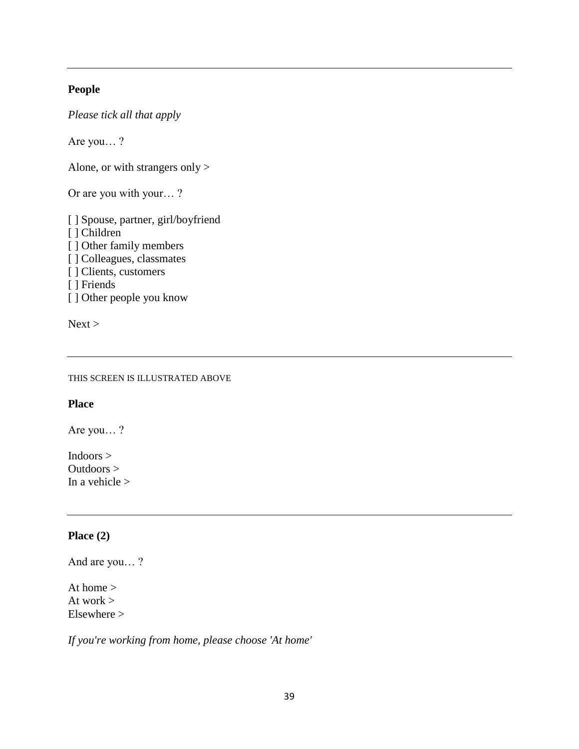# **People**

*Please tick all that apply*

Are you… ?

Alone, or with strangers only >

Or are you with your… ?

[ ] Spouse, partner, girl/boyfriend [ ] Children [ ] Other family members [ ] Colleagues, classmates [ ] Clients, customers [ ] Friends [ ] Other people you know

 $Next$ 

THIS SCREEN IS ILLUSTRATED ABOVE

### **Place**

Are you… ?

Indoors > Outdoors > In a vehicle >

### **Place (2)**

And are you… ?

At home > At work  $>$ Elsewhere >

*If you're working from home, please choose 'At home'*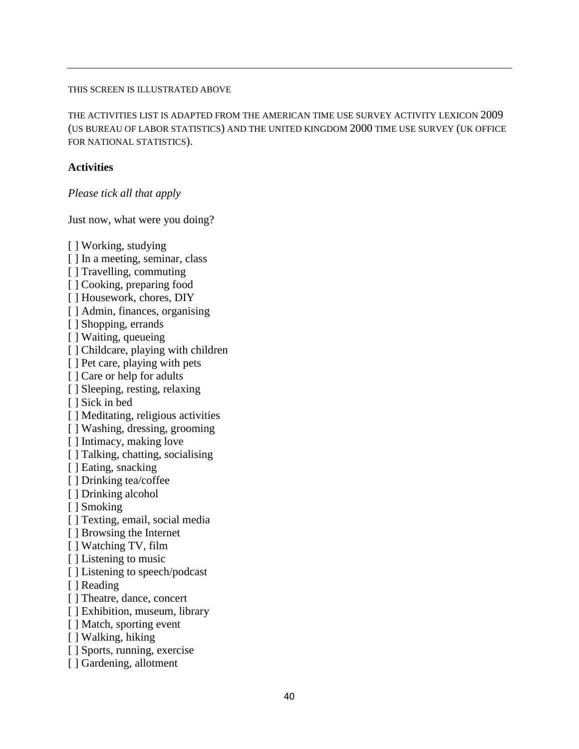### THIS SCREEN IS ILLUSTRATED ABOVE

THE ACTIVITIES LIST IS ADAPTED FROM THE AMERICAN TIME USE SURVEY ACTIVITY LEXICON 2009 (US BUREAU OF LABOR STATISTICS) AND THE UNITED KINGDOM 2000 TIME USE SURVEY (UK OFFICE FOR NATIONAL STATISTICS).

### **Activities**

*Please tick all that apply*

Just now, what were you doing?

[ ] Working, studying [] In a meeting, seminar, class [] Travelling, commuting [ ] Cooking, preparing food [ ] Housework, chores, DIY [ ] Admin, finances, organising [ ] Shopping, errands [ ] Waiting, queueing [] Childcare, playing with children [ ] Pet care, playing with pets [ ] Care or help for adults [ ] Sleeping, resting, relaxing [ ] Sick in bed [] Meditating, religious activities [ ] Washing, dressing, grooming [ ] Intimacy, making love [ ] Talking, chatting, socialising [ ] Eating, snacking [ ] Drinking tea/coffee [ ] Drinking alcohol [ ] Smoking [ ] Texting, email, social media [ ] Browsing the Internet [ ] Watching TV, film [ ] Listening to music [ ] Listening to speech/podcast [ ] Reading [ ] Theatre, dance, concert [] Exhibition, museum, library [ ] Match, sporting event [ ] Walking, hiking [ ] Sports, running, exercise [ ] Gardening, allotment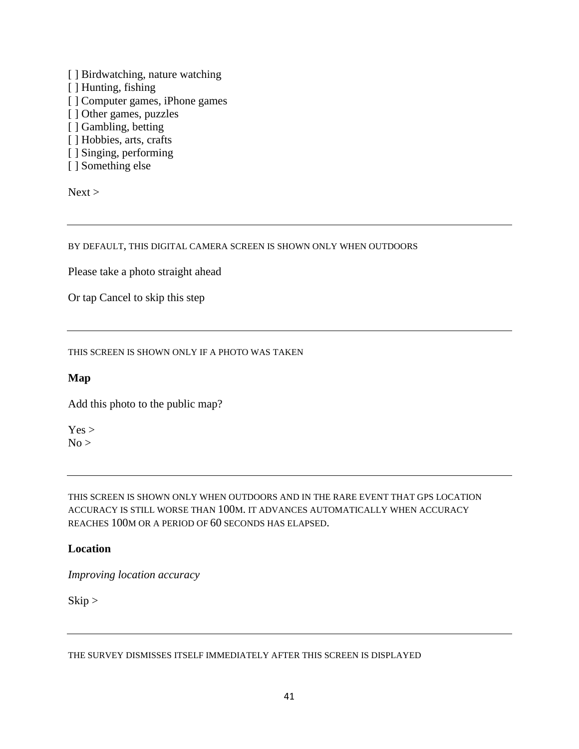- [] Birdwatching, nature watching
- [ ] Hunting, fishing
- [] Computer games, iPhone games
- [ ] Other games, puzzles
- [ ] Gambling, betting
- [ ] Hobbies, arts, crafts
- [ ] Singing, performing
- [ ] Something else

 $Next$ 

BY DEFAULT, THIS DIGITAL CAMERA SCREEN IS SHOWN ONLY WHEN OUTDOORS

Please take a photo straight ahead

Or tap Cancel to skip this step

THIS SCREEN IS SHOWN ONLY IF A PHOTO WAS TAKEN

# **Map**

Add this photo to the public map?

 $Yes >$  $No$ 

THIS SCREEN IS SHOWN ONLY WHEN OUTDOORS AND IN THE RARE EVENT THAT GPS LOCATION ACCURACY IS STILL WORSE THAN 100M. IT ADVANCES AUTOMATICALLY WHEN ACCURACY REACHES 100M OR A PERIOD OF 60 SECONDS HAS ELAPSED.

# **Location**

*Improving location accuracy*

Skip >

THE SURVEY DISMISSES ITSELF IMMEDIATELY AFTER THIS SCREEN IS DISPLAYED